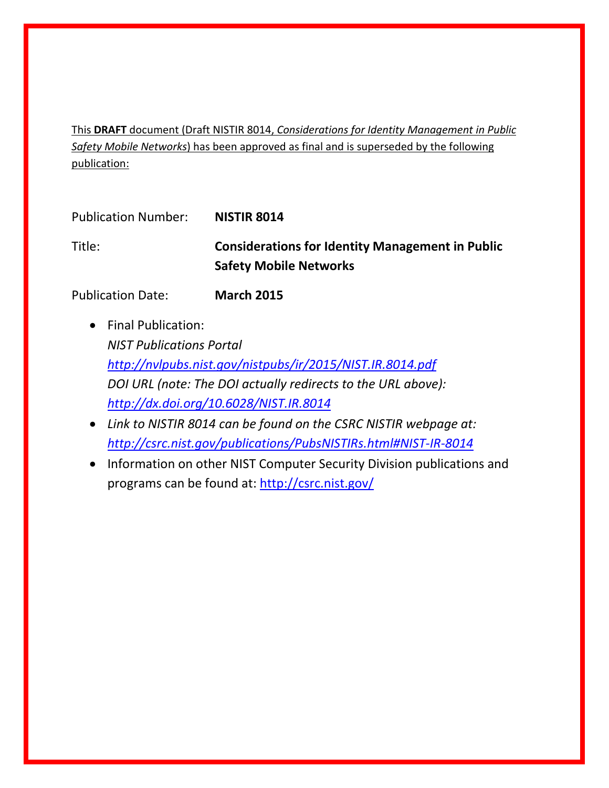This **DRAFT** document (Draft NISTIR 8014, *Considerations for Identity Management in Public Safety Mobile Networks*) has been approved as final and is superseded by the following publication:

| <b>Publication Number:</b> | <b>NISTIR 8014</b>                                                                       |
|----------------------------|------------------------------------------------------------------------------------------|
| Title:                     | <b>Considerations for Identity Management in Public</b><br><b>Safety Mobile Networks</b> |

Publication Date: **March 2015**

- Final Publication: *NIST Publications Portal <http://nvlpubs.nist.gov/nistpubs/ir/2015/NIST.IR.8014.pdf> DOI URL (note: The DOI actually redirects to the URL above): <http://dx.doi.org/10.6028/NIST.IR.8014>*
- *Link to NISTIR 8014 can be found on the CSRC NISTIR webpage at: <http://csrc.nist.gov/publications/PubsNISTIRs.html#NIST-IR-8014>*
- Information on other NIST Computer Security Division publications and programs can be found at:<http://csrc.nist.gov/>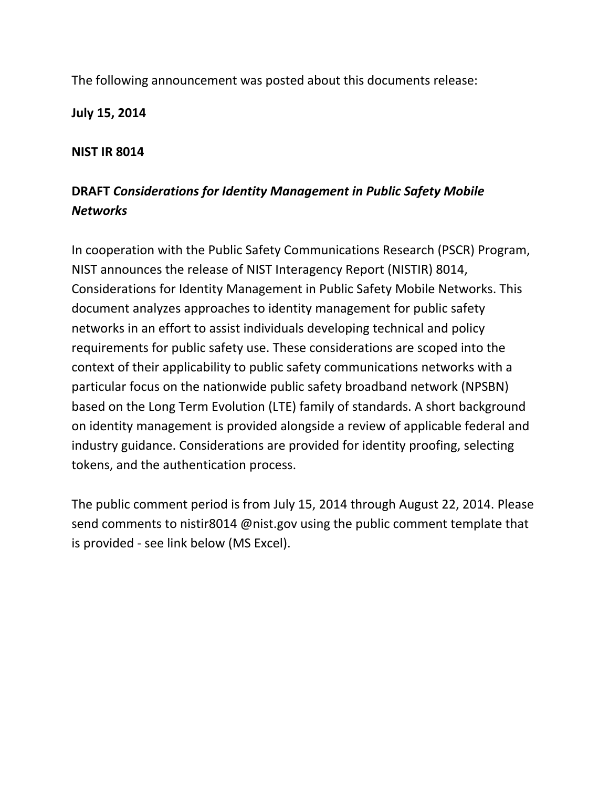The following announcement was posted about this documents release:

**July 15, 2014**

# **NIST IR 8014**

# **DRAFT** *Considerations for Identity Management in Public Safety Mobile Networks*

In cooperation with the Public Safety Communications Research (PSCR) Program, NIST announces the release of NIST Interagency Report (NISTIR) 8014, Considerations for Identity Management in Public Safety Mobile Networks. This document analyzes approaches to identity management for public safety networks in an effort to assist individuals developing technical and policy requirements for public safety use. These considerations are scoped into the context of their applicability to public safety communications networks with a particular focus on the nationwide public safety broadband network (NPSBN) based on the Long Term Evolution (LTE) family of standards. A short background on identity management is provided alongside a review of applicable federal and industry guidance. Considerations are provided for identity proofing, selecting tokens, and the authentication process.

The public comment period is from July 15, 2014 through August 22, 2014. Please send comments to nistir8014 @nist.gov using the public comment template that is provided - see link below (MS Excel).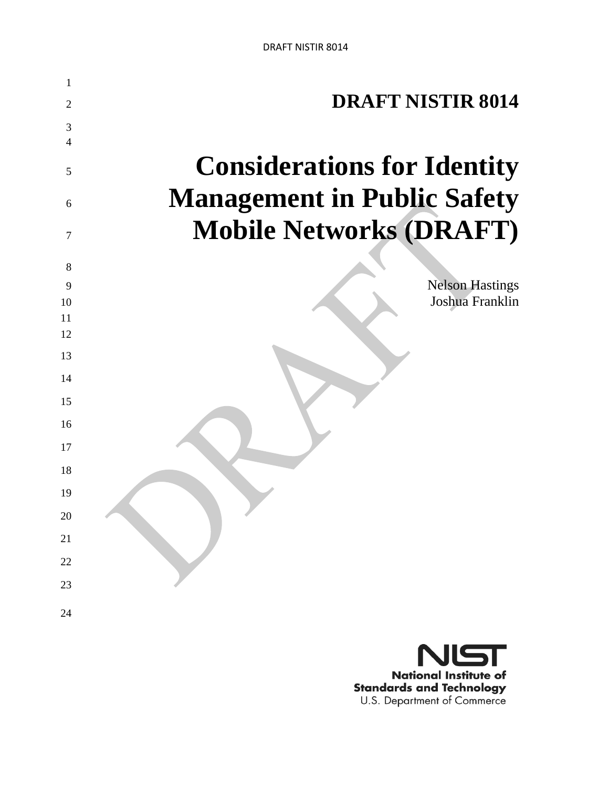

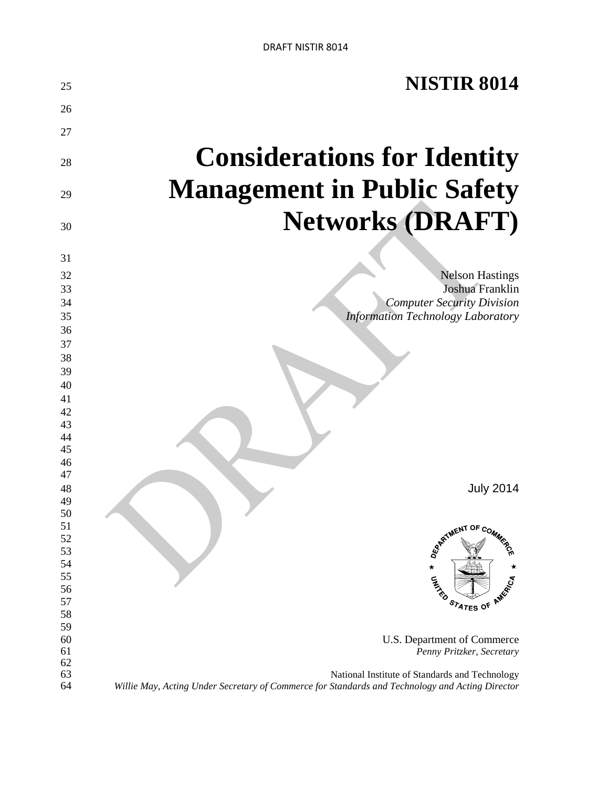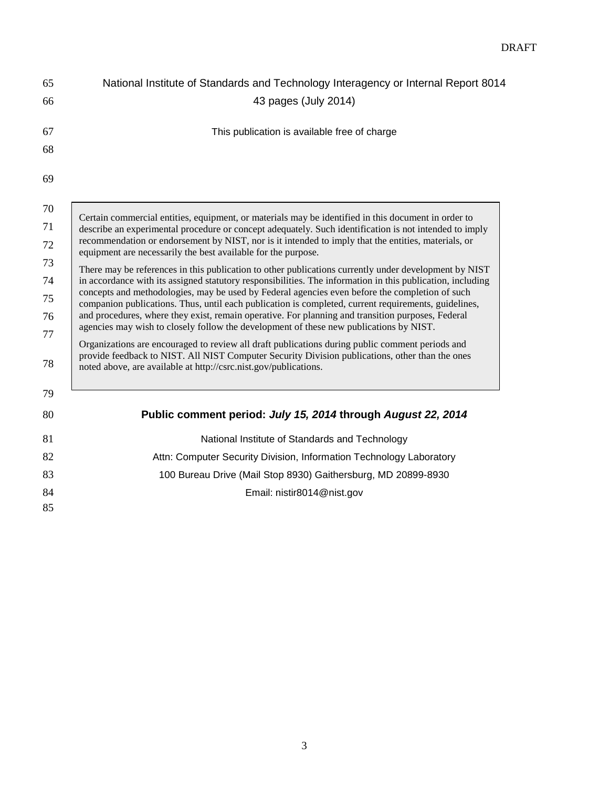| 65       | National Institute of Standards and Technology Interagency or Internal Report 8014                                                                                                                                                                                     |
|----------|------------------------------------------------------------------------------------------------------------------------------------------------------------------------------------------------------------------------------------------------------------------------|
| 66       | 43 pages (July 2014)                                                                                                                                                                                                                                                   |
| 67       | This publication is available free of charge                                                                                                                                                                                                                           |
| 68       |                                                                                                                                                                                                                                                                        |
| 69       |                                                                                                                                                                                                                                                                        |
| 70       | Certain commercial entities, equipment, or materials may be identified in this document in order to                                                                                                                                                                    |
| 71       | describe an experimental procedure or concept adequately. Such identification is not intended to imply                                                                                                                                                                 |
| 72       | recommendation or endorsement by NIST, nor is it intended to imply that the entities, materials, or<br>equipment are necessarily the best available for the purpose.                                                                                                   |
| 73       | There may be references in this publication to other publications currently under development by NIST                                                                                                                                                                  |
| 74       | in accordance with its assigned statutory responsibilities. The information in this publication, including                                                                                                                                                             |
| 75       | concepts and methodologies, may be used by Federal agencies even before the completion of such<br>companion publications. Thus, until each publication is completed, current requirements, guidelines,                                                                 |
| 76       | and procedures, where they exist, remain operative. For planning and transition purposes, Federal<br>agencies may wish to closely follow the development of these new publications by NIST.                                                                            |
| 77<br>78 | Organizations are encouraged to review all draft publications during public comment periods and<br>provide feedback to NIST. All NIST Computer Security Division publications, other than the ones<br>noted above, are available at http://csrc.nist.gov/publications. |
| 79       |                                                                                                                                                                                                                                                                        |
| 80       | Public comment period: July 15, 2014 through August 22, 2014                                                                                                                                                                                                           |
| 81       | National Institute of Standards and Technology                                                                                                                                                                                                                         |
| 82       | Attn: Computer Security Division, Information Technology Laboratory                                                                                                                                                                                                    |
| 83       | 100 Bureau Drive (Mail Stop 8930) Gaithersburg, MD 20899-8930                                                                                                                                                                                                          |
| 84       | Email: nistir8014@nist.gov                                                                                                                                                                                                                                             |
| 85       |                                                                                                                                                                                                                                                                        |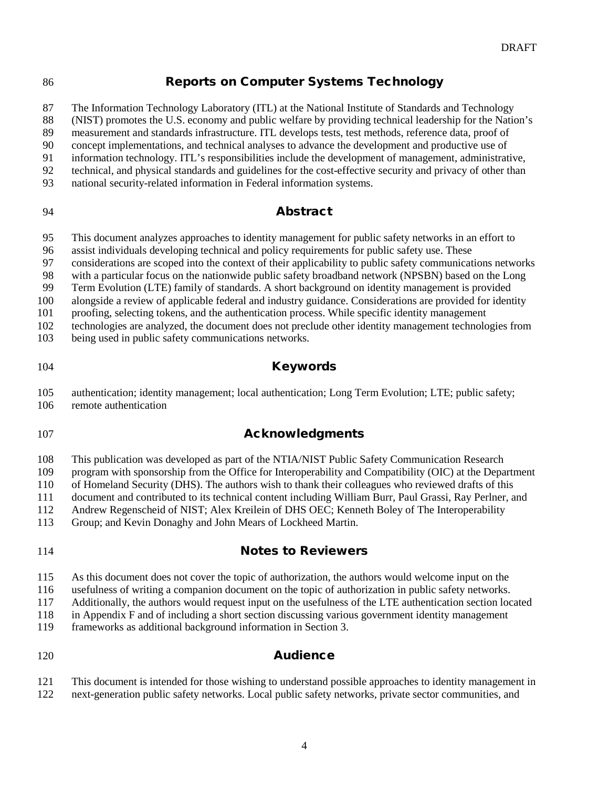# 86 Reports on Computer Systems Technology

The Information Technology Laboratory (ITL) at the National Institute of Standards and Technology

(NIST) promotes the U.S. economy and public welfare by providing technical leadership for the Nation's

measurement and standards infrastructure. ITL develops tests, test methods, reference data, proof of

 concept implementations, and technical analyses to advance the development and productive use of information technology. ITL's responsibilities include the development of management, administrative,

- technical, and physical standards and guidelines for the cost-effective security and privacy of other than
- national security-related information in Federal information systems.

### Abstract

This document analyzes approaches to identity management for public safety networks in an effort to

assist individuals developing technical and policy requirements for public safety use. These

considerations are scoped into the context of their applicability to public safety communications networks

with a particular focus on the nationwide public safety broadband network (NPSBN) based on the Long

Term Evolution (LTE) family of standards. A short background on identity management is provided

alongside a review of applicable federal and industry guidance. Considerations are provided for identity

proofing, selecting tokens, and the authentication process. While specific identity management

technologies are analyzed, the document does not preclude other identity management technologies from

being used in public safety communications networks.

### Keywords

 authentication; identity management; local authentication; Long Term Evolution; LTE; public safety; remote authentication

# **Acknowledgments**

This publication was developed as part of the NTIA/NIST Public Safety Communication Research

program with sponsorship from the Office for Interoperability and Compatibility (OIC) at the Department

of Homeland Security (DHS). The authors wish to thank their colleagues who reviewed drafts of this

document and contributed to its technical content including William Burr, Paul Grassi, Ray Perlner, and

Andrew Regenscheid of NIST; Alex Kreilein of DHS OEC; Kenneth Boley of The Interoperability

Group; and Kevin Donaghy and John Mears of Lockheed Martin.

# Notes to Reviewers

As this document does not cover the topic of authorization, the authors would welcome input on the

usefulness of writing a companion document on the topic of authorization in public safety networks.

Additionally, the authors would request input on the usefulness of the LTE authentication section located

in Appendix F and of including a short section discussing various government identity management

frameworks as additional background information in Section 3.

# **Audience**

 This document is intended for those wishing to understand possible approaches to identity management in next-generation public safety networks. Local public safety networks, private sector communities, and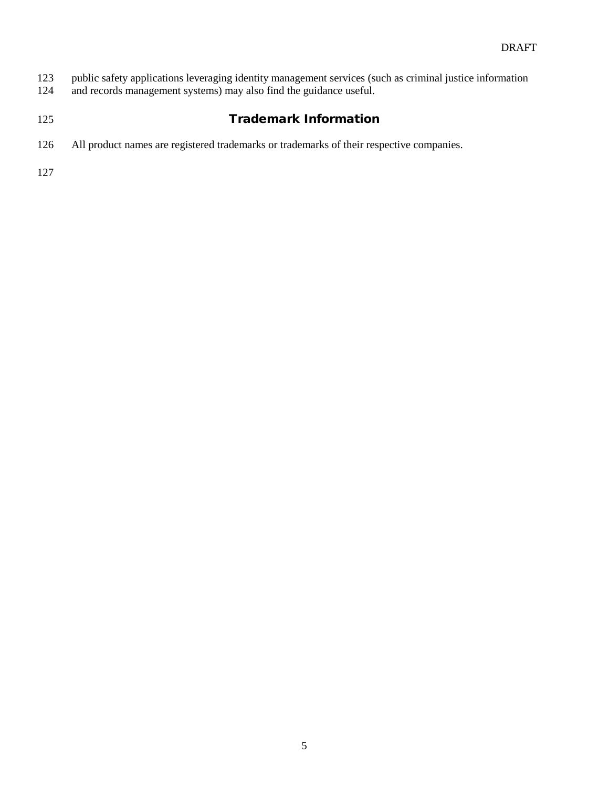public safety applications leveraging identity management services (such as criminal justice information and records management systems) may also find the guidance useful.

# 125 Trademark Information

All product names are registered trademarks or trademarks of their respective companies.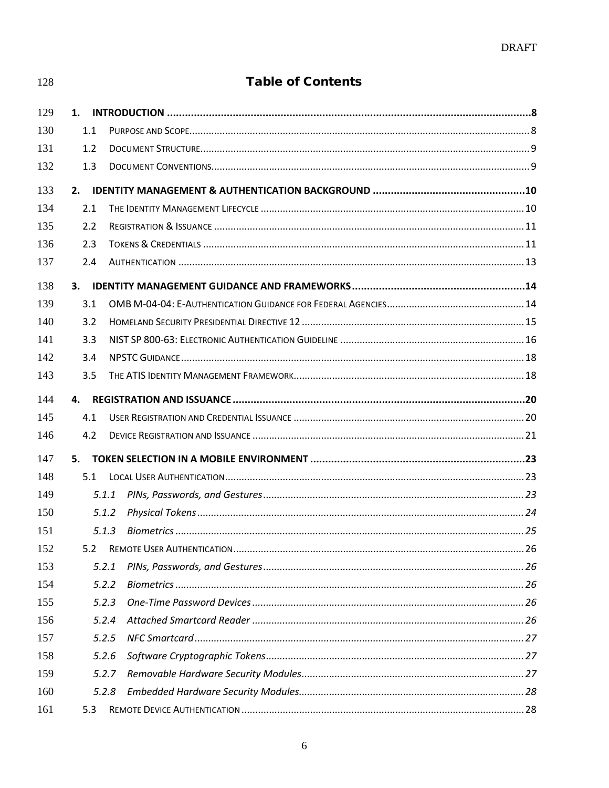| 128 | <b>Table of Contents</b> |  |
|-----|--------------------------|--|
| 129 | 1.                       |  |
| 130 | 1.1                      |  |
| 131 | 1.2                      |  |
| 132 | 1.3                      |  |
| 133 | 2.                       |  |
| 134 | 2.1                      |  |
| 135 | 2.2                      |  |
| 136 | 2.3                      |  |
| 137 | 2.4                      |  |
| 138 | 3.                       |  |
| 139 | 3.1                      |  |
| 140 | 3.2                      |  |
| 141 | 3.3                      |  |
| 142 | 3.4                      |  |
| 143 | 3.5                      |  |
| 144 | 4.                       |  |
| 145 | 4.1                      |  |
| 146 | 4.2                      |  |
| 147 | 5.                       |  |
| 148 | 5.1                      |  |
| 149 | 5.1.1                    |  |
| 150 | 5.1.2                    |  |
| 151 | 5.1.3                    |  |
| 152 | 5.2                      |  |
| 153 | 5.2.1                    |  |
| 154 | 5.2.2                    |  |
| 155 | 5.2.3                    |  |
| 156 | 5.2.4                    |  |
| 157 | 5.2.5                    |  |
| 158 | 5.2.6                    |  |
| 159 | 5.2.7                    |  |
| 160 | 5.2.8                    |  |
| 161 | 5.3                      |  |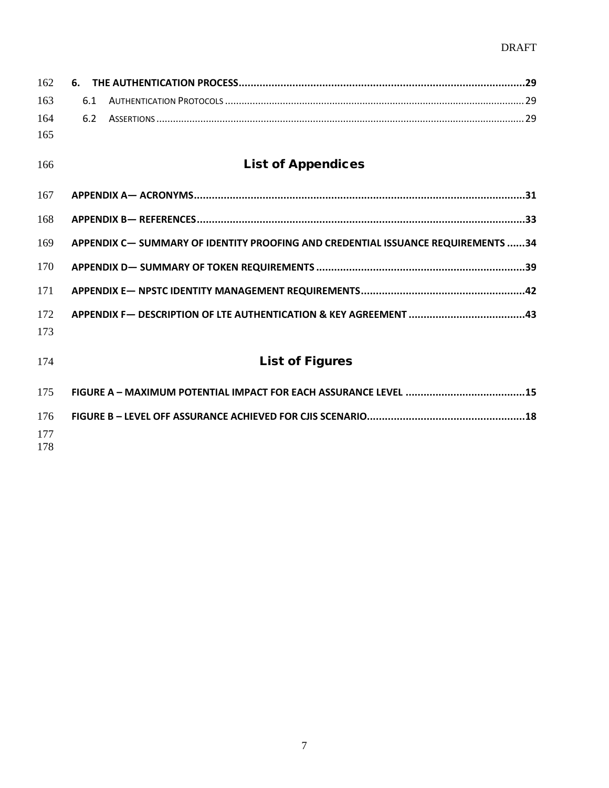# DRAFT

| 162 | 6.  |                                                                                  |
|-----|-----|----------------------------------------------------------------------------------|
| 163 | 6.1 |                                                                                  |
| 164 | 6.2 |                                                                                  |
| 165 |     |                                                                                  |
| 166 |     | <b>List of Appendices</b>                                                        |
| 167 |     |                                                                                  |
| 168 |     |                                                                                  |
| 169 |     | APPENDIX C- SUMMARY OF IDENTITY PROOFING AND CREDENTIAL ISSUANCE REQUIREMENTS 34 |
| 170 |     |                                                                                  |
| 171 |     |                                                                                  |
| 172 |     |                                                                                  |
| 173 |     |                                                                                  |
| 174 |     | <b>List of Figures</b>                                                           |
| 175 |     |                                                                                  |
| 176 |     |                                                                                  |
| 177 |     |                                                                                  |
| 178 |     |                                                                                  |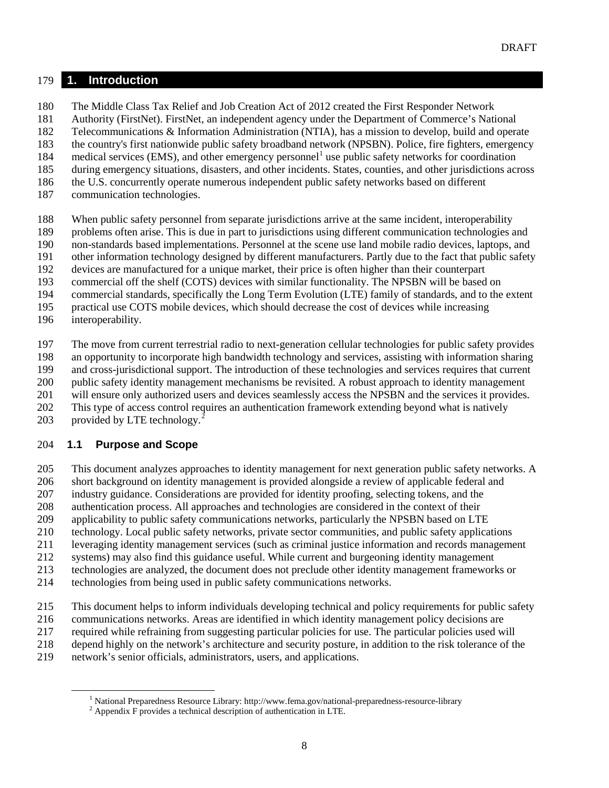#### **1. Introduction**

The Middle Class Tax Relief and Job Creation Act of 2012 created the First Responder Network

Authority (FirstNet). FirstNet, an independent agency under the Department of Commerce's National

Telecommunications & Information Administration (NTIA), has a mission to develop, build and operate

 the country's first nationwide public safety broadband network (NPSBN). Police, fire fighters, emergency 84 medical services (EMS), and other emergency personnel<sup>1</sup> use public safety networks for coordination

- during emergency situations, disasters, and other incidents. States, counties, and other jurisdictions across
- the U.S. concurrently operate numerous independent public safety networks based on different
- communication technologies.
- When public safety personnel from separate jurisdictions arrive at the same incident, interoperability
- problems often arise. This is due in part to jurisdictions using different communication technologies and
- non-standards based implementations. Personnel at the scene use land mobile radio devices, laptops, and
- other information technology designed by different manufacturers. Partly due to the fact that public safety
- devices are manufactured for a unique market, their price is often higher than their counterpart
- commercial off the shelf (COTS) devices with similar functionality. The NPSBN will be based on
- commercial standards, specifically the Long Term Evolution (LTE) family of standards, and to the extent
- practical use COTS mobile devices, which should decrease the cost of devices while increasing
- interoperability.

The move from current terrestrial radio to next-generation cellular technologies for public safety provides

an opportunity to incorporate high bandwidth technology and services, assisting with information sharing

and cross-jurisdictional support. The introduction of these technologies and services requires that current

public safety identity management mechanisms be revisited. A robust approach to identity management

- will ensure only authorized users and devices seamlessly access the NPSBN and the services it provides.
- This type of access control requires an authentication framework extending beyond what is natively
- 03 provided by LTE technology.<sup>2</sup>

# **1.1 Purpose and Scope**

This document analyzes approaches to identity management for next generation public safety networks. A

- short background on identity management is provided alongside a review of applicable federal and
- industry guidance. Considerations are provided for identity proofing, selecting tokens, and the
- authentication process. All approaches and technologies are considered in the context of their
- applicability to public safety communications networks, particularly the NPSBN based on LTE
- technology. Local public safety networks, private sector communities, and public safety applications
- leveraging identity management services (such as criminal justice information and records management
- systems) may also find this guidance useful. While current and burgeoning identity management
- technologies are analyzed, the document does not preclude other identity management frameworks or
- technologies from being used in public safety communications networks.
- This document helps to inform individuals developing technical and policy requirements for public safety
- communications networks. Areas are identified in which identity management policy decisions are
- required while refraining from suggesting particular policies for use. The particular policies used will
- depend highly on the network's architecture and security posture, in addition to the risk tolerance of the
- <span id="page-9-1"></span><span id="page-9-0"></span>network's senior officials, administrators, users, and applications.

<sup>&</sup>lt;sup>1</sup> National Preparedness Resource Library: http://www.fema.gov/national-preparedness-resource-library <sup>2</sup> Appendix F provides a technical description of authentication in LTE.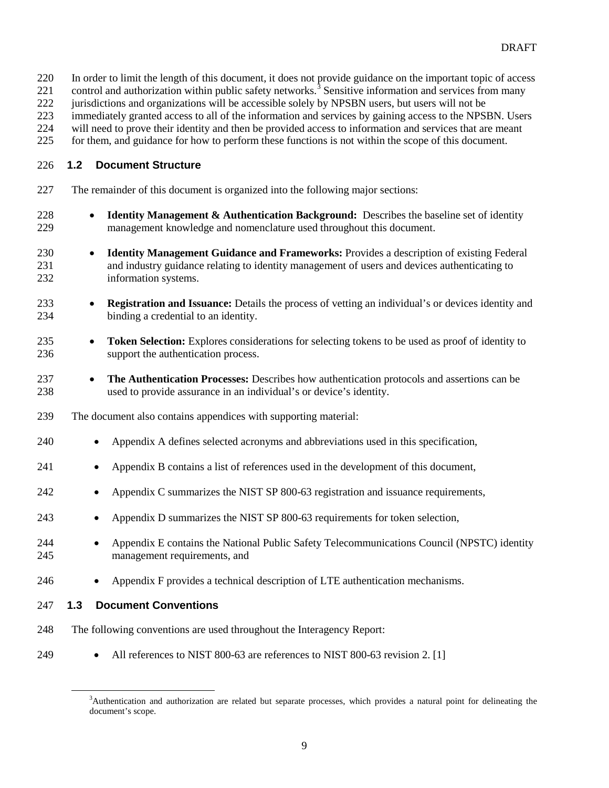- In order to limit the length of this document, it does not provide guidance on the important topic of access
- 221 control and authorization within public safety networks.<sup>[3](#page-10-0)</sup> Sensitive information and services from many
- jurisdictions and organizations will be accessible solely by NPSBN users, but users will not be
- immediately granted access to all of the information and services by gaining access to the NPSBN. Users
- will need to prove their identity and then be provided access to information and services that are meant
- for them, and guidance for how to perform these functions is not within the scope of this document.

#### **1.2 Document Structure**

- The remainder of this document is organized into the following major sections:
- **Identity Management & Authentication Background:** Describes the baseline set of identity management knowledge and nomenclature used throughout this document.
- **Identity Management Guidance and Frameworks:** Provides a description of existing Federal and industry guidance relating to identity management of users and devices authenticating to information systems.
- **Registration and Issuance:** Details the process of vetting an individual's or devices identity and binding a credential to an identity.
- **Token Selection:** Explores considerations for selecting tokens to be used as proof of identity to support the authentication process.
- **The Authentication Processes:** Describes how authentication protocols and assertions can be used to provide assurance in an individual's or device's identity.
- The document also contains appendices with supporting material:
- Appendix A defines selected acronyms and abbreviations used in this specification,
- Appendix B contains a list of references used in the development of this document,
- 242 Appendix C summarizes the NIST SP 800-63 registration and issuance requirements,
- 243 Appendix D summarizes the NIST SP 800-63 requirements for token selection,
- Appendix E contains the National Public Safety Telecommunications Council (NPSTC) identity management requirements, and
- Appendix F provides a technical description of LTE authentication mechanisms.
- **1.3 Document Conventions**
- The following conventions are used throughout the Interagency Report:
- <span id="page-10-0"></span>249 • All references to NIST 800-63 are references to NIST 800-63 revision 2. [1]

 $\overline{\phantom{a}}$ <sup>3</sup>Authentication and authorization are related but separate processes, which provides a natural point for delineating the document's scope.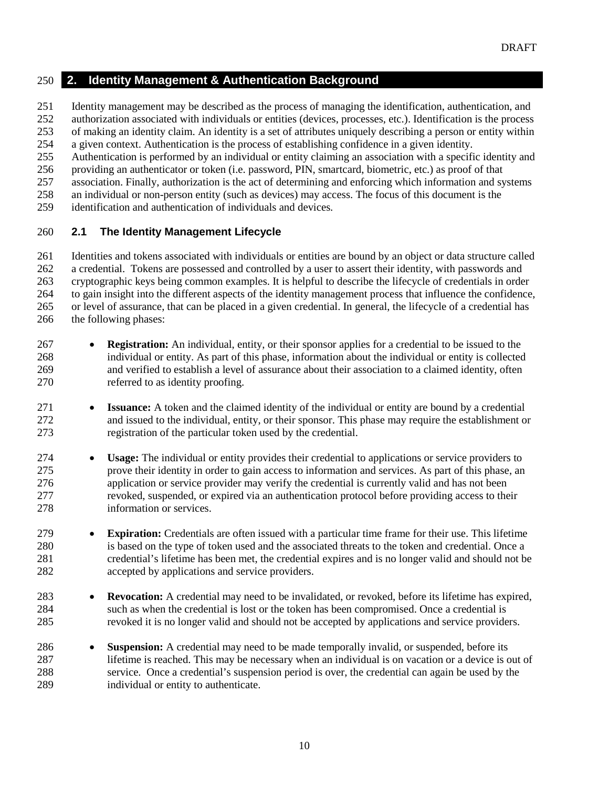#### **2. Identity Management & Authentication Background**

Identity management may be described as the process of managing the identification, authentication, and

authorization associated with individuals or entities (devices, processes, etc.). Identification is the process

 of making an identity claim. An identity is a set of attributes uniquely describing a person or entity within a given context. Authentication is the process of establishing confidence in a given identity.

Authentication is performed by an individual or entity claiming an association with a specific identity and

providing an authenticator or token (i.e. password, PIN, smartcard, biometric, etc.) as proof of that

association. Finally, authorization is the act of determining and enforcing which information and systems

an individual or non-person entity (such as devices) may access. The focus of this document is the

identification and authentication of individuals and devices.

#### **2.1 The Identity Management Lifecycle**

 Identities and tokens associated with individuals or entities are bound by an object or data structure called a credential. Tokens are possessed and controlled by a user to assert their identity, with passwords and cryptographic keys being common examples. It is helpful to describe the lifecycle of credentials in order to gain insight into the different aspects of the identity management process that influence the confidence, or level of assurance, that can be placed in a given credential. In general, the lifecycle of a credential has the following phases:

- **Registration:** An individual, entity, or their sponsor applies for a credential to be issued to the individual or entity. As part of this phase, information about the individual or entity is collected and verified to establish a level of assurance about their association to a claimed identity, often referred to as identity proofing.
- **Issuance:** A token and the claimed identity of the individual or entity are bound by a credential and issued to the individual, entity, or their sponsor. This phase may require the establishment or registration of the particular token used by the credential.
- **Usage:** The individual or entity provides their credential to applications or service providers to prove their identity in order to gain access to information and services. As part of this phase, an application or service provider may verify the credential is currently valid and has not been revoked, suspended, or expired via an authentication protocol before providing access to their information or services.
- **Expiration:** Credentials are often issued with a particular time frame for their use. This lifetime is based on the type of token used and the associated threats to the token and credential. Once a credential's lifetime has been met, the credential expires and is no longer valid and should not be accepted by applications and service providers.
- **Revocation:** A credential may need to be invalidated, or revoked, before its lifetime has expired, such as when the credential is lost or the token has been compromised. Once a credential is revoked it is no longer valid and should not be accepted by applications and service providers.
- **Suspension:** A credential may need to be made temporally invalid, or suspended, before its lifetime is reached. This may be necessary when an individual is on vacation or a device is out of service. Once a credential's suspension period is over, the credential can again be used by the individual or entity to authenticate.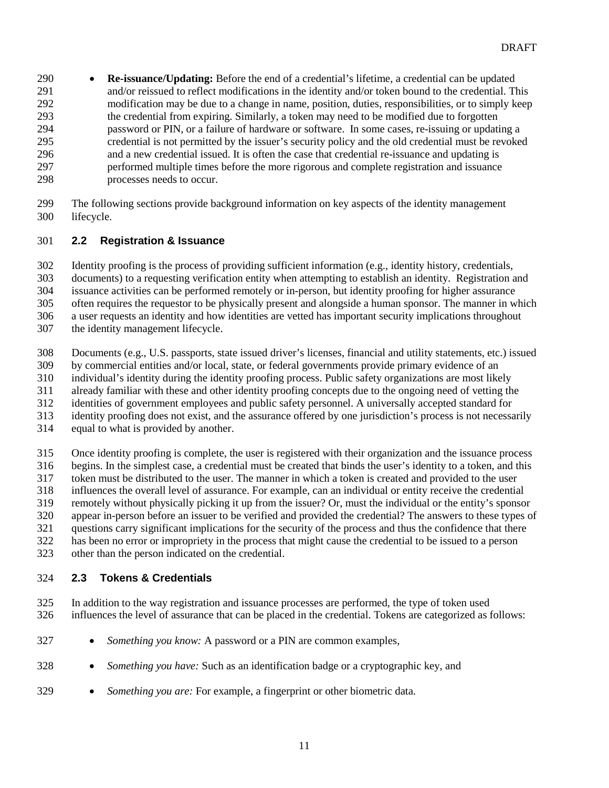- **Re-issuance/Updating:** Before the end of a credential's lifetime, a credential can be updated and/or reissued to reflect modifications in the identity and/or token bound to the credential. This modification may be due to a change in name, position, duties, responsibilities, or to simply keep the credential from expiring. Similarly, a token may need to be modified due to forgotten password or PIN, or a failure of hardware or software. In some cases, re-issuing or updating a 295 credential is not permitted by the issuer's security policy and the old credential must be revoked<br>296 and a new credential issued. It is often the case that credential re-issuance and updating is and a new credential issued. It is often the case that credential re-issuance and updating is performed multiple times before the more rigorous and complete registration and issuance processes needs to occur.
- The following sections provide background information on key aspects of the identity management lifecycle.

#### **2.2 Registration & Issuance**

 Identity proofing is the process of providing sufficient information (e.g., identity history, credentials, documents) to a requesting verification entity when attempting to establish an identity. Registration and issuance activities can be performed remotely or in-person, but identity proofing for higher assurance often requires the requestor to be physically present and alongside a human sponsor. The manner in which a user requests an identity and how identities are vetted has important security implications throughout

- the identity management lifecycle.
- Documents (e.g., U.S. passports, state issued driver's licenses, financial and utility statements, etc.) issued
- by commercial entities and/or local, state, or federal governments provide primary evidence of an
- individual's identity during the identity proofing process. Public safety organizations are most likely
- already familiar with these and other identity proofing concepts due to the ongoing need of vetting the
- identities of government employees and public safety personnel. A universally accepted standard for
- identity proofing does not exist, and the assurance offered by one jurisdiction's process is not necessarily
- equal to what is provided by another.
- Once identity proofing is complete, the user is registered with their organization and the issuance process
- begins. In the simplest case, a credential must be created that binds the user's identity to a token, and this token must be distributed to the user. The manner in which a token is created and provided to the user
- influences the overall level of assurance. For example, can an individual or entity receive the credential
- remotely without physically picking it up from the issuer? Or, must the individual or the entity's sponsor
- appear in-person before an issuer to be verified and provided the credential? The answers to these types of
- questions carry significant implications for the security of the process and thus the confidence that there
- has been no error or impropriety in the process that might cause the credential to be issued to a person
- other than the person indicated on the credential.

### **2.3 Tokens & Credentials**

- In addition to the way registration and issuance processes are performed, the type of token used influences the level of assurance that can be placed in the credential. Tokens are categorized as follows:
- *Something you know:* A password or a PIN are common examples,
- *Something you have:* Such as an identification badge or a cryptographic key, and
- *Something you are:* For example, a fingerprint or other biometric data.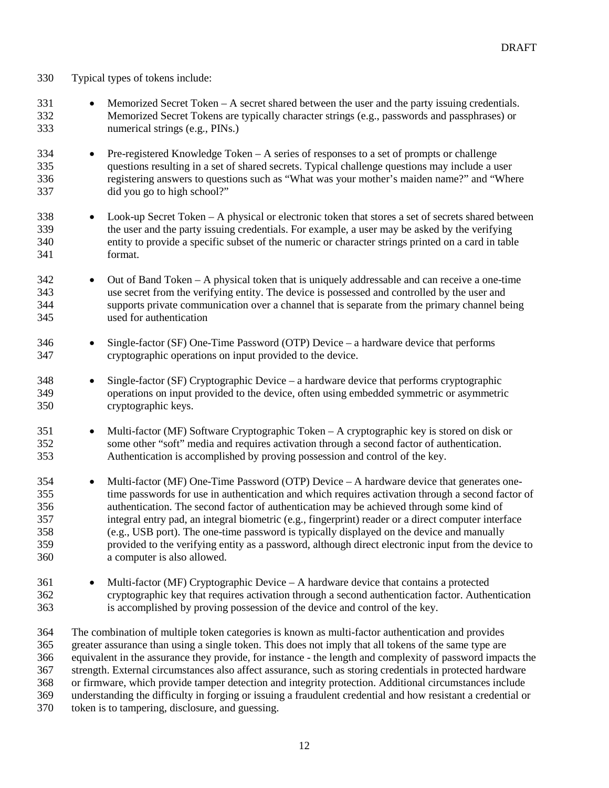- Typical types of tokens include:
- Memorized Secret Token A secret shared between the user and the party issuing credentials. Memorized Secret Tokens are typically character strings (e.g., passwords and passphrases) or numerical strings (e.g., PINs.)
- Pre-registered Knowledge Token A series of responses to a set of prompts or challenge questions resulting in a set of shared secrets. Typical challenge questions may include a user registering answers to questions such as "What was your mother's maiden name?" and "Where did you go to high school?"
- Look-up Secret Token A physical or electronic token that stores a set of secrets shared between the user and the party issuing credentials. For example, a user may be asked by the verifying entity to provide a specific subset of the numeric or character strings printed on a card in table format.
- Out of Band Token A physical token that is uniquely addressable and can receive a one-time use secret from the verifying entity. The device is possessed and controlled by the user and supports private communication over a channel that is separate from the primary channel being used for authentication
- Single-factor (SF) One-Time Password (OTP) Device a hardware device that performs cryptographic operations on input provided to the device.
- Single-factor (SF) Cryptographic Device a hardware device that performs cryptographic operations on input provided to the device, often using embedded symmetric or asymmetric cryptographic keys.
- Multi-factor (MF) Software Cryptographic Token A cryptographic key is stored on disk or some other "soft" media and requires activation through a second factor of authentication. Authentication is accomplished by proving possession and control of the key.
- Multi-factor (MF) One-Time Password (OTP) Device A hardware device that generates one- time passwords for use in authentication and which requires activation through a second factor of authentication. The second factor of authentication may be achieved through some kind of integral entry pad, an integral biometric (e.g., fingerprint) reader or a direct computer interface (e.g., USB port). The one-time password is typically displayed on the device and manually provided to the verifying entity as a password, although direct electronic input from the device to a computer is also allowed.
- Multi-factor (MF) Cryptographic Device A hardware device that contains a protected cryptographic key that requires activation through a second authentication factor. Authentication is accomplished by proving possession of the device and control of the key.
- The combination of multiple token categories is known as multi-factor authentication and provides greater assurance than using a single token. This does not imply that all tokens of the same type are equivalent in the assurance they provide, for instance - the length and complexity of password impacts the strength. External circumstances also affect assurance, such as storing credentials in protected hardware or firmware, which provide tamper detection and integrity protection. Additional circumstances include understanding the difficulty in forging or issuing a fraudulent credential and how resistant a credential or token is to tampering, disclosure, and guessing.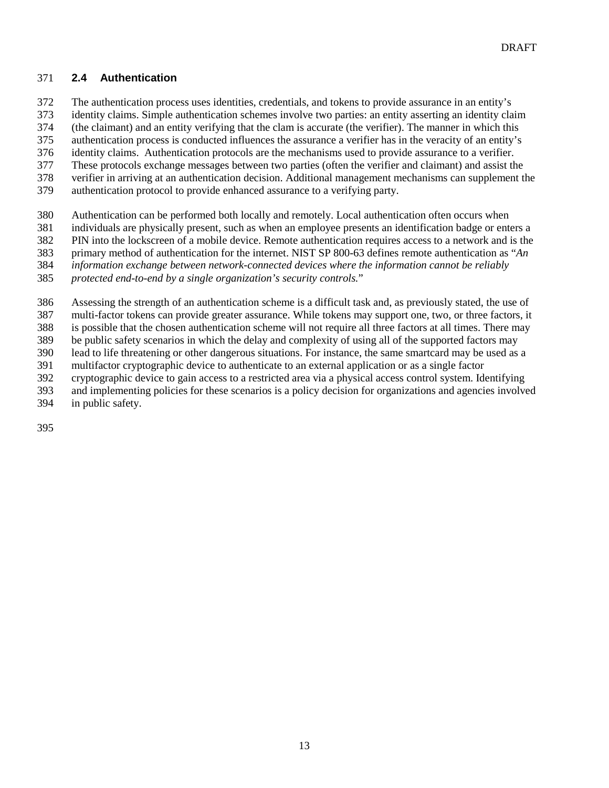#### **2.4 Authentication**

- The authentication process uses identities, credentials, and tokens to provide assurance in an entity's
- identity claims. Simple authentication schemes involve two parties: an entity asserting an identity claim

(the claimant) and an entity verifying that the clam is accurate (the verifier). The manner in which this

authentication process is conducted influences the assurance a verifier has in the veracity of an entity's

- identity claims. Authentication protocols are the mechanisms used to provide assurance to a verifier.
- These protocols exchange messages between two parties (often the verifier and claimant) and assist the verifier in arriving at an authentication decision. Additional management mechanisms can supplement the
- authentication protocol to provide enhanced assurance to a verifying party.
	- Authentication can be performed both locally and remotely. Local authentication often occurs when
	- individuals are physically present, such as when an employee presents an identification badge or enters a
	- PIN into the lockscreen of a mobile device. Remote authentication requires access to a network and is the
	- primary method of authentication for the internet. NIST SP 800-63 defines remote authentication as "*An*
	- *information exchange between network-connected devices where the information cannot be reliably*

*protected end-to-end by a single organization's security controls.*"

- Assessing the strength of an authentication scheme is a difficult task and, as previously stated, the use of
- multi-factor tokens can provide greater assurance. While tokens may support one, two, or three factors, it
- is possible that the chosen authentication scheme will not require all three factors at all times. There may
- be public safety scenarios in which the delay and complexity of using all of the supported factors may
- lead to life threatening or other dangerous situations. For instance, the same smartcard may be used as a
- multifactor cryptographic device to authenticate to an external application or as a single factor
- cryptographic device to gain access to a restricted area via a physical access control system. Identifying
- and implementing policies for these scenarios is a policy decision for organizations and agencies involved in public safety.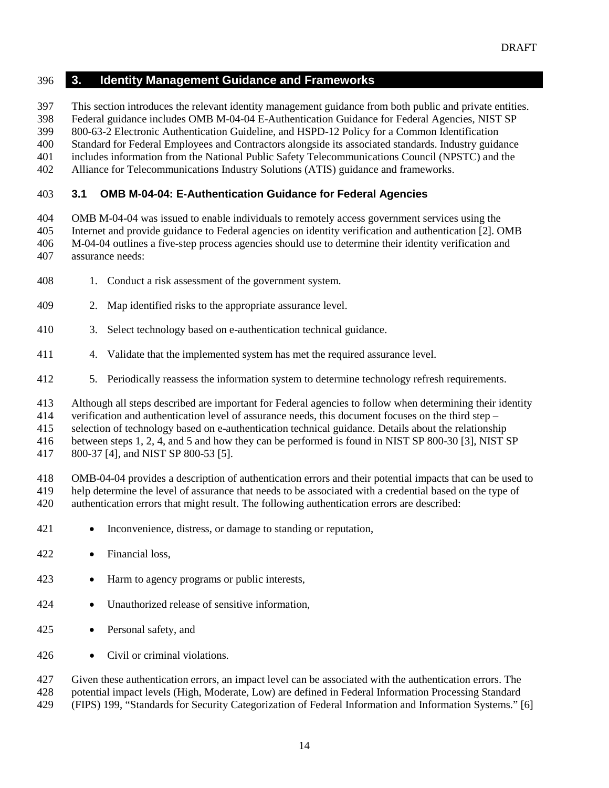#### **3. Identity Management Guidance and Frameworks**

This section introduces the relevant identity management guidance from both public and private entities.

Federal guidance includes OMB M-04-04 E-Authentication Guidance for Federal Agencies*,* NIST SP

 800-63-2 Electronic Authentication Guideline, and HSPD-12 Policy for a Common Identification Standard for Federal Employees and Contractors alongside its associated standards. Industry guidance

includes information from the National Public Safety Telecommunications Council (NPSTC) and the

Alliance for Telecommunications Industry Solutions (ATIS) guidance and frameworks.

#### <span id="page-15-0"></span>**3.1 OMB M-04-04: E-Authentication Guidance for Federal Agencies**

 OMB M-04-04 was issued to enable individuals to remotely access government services using the Internet and provide guidance to Federal agencies on identity verification and authentication [2]. OMB M-04-04 outlines a five-step process agencies should use to determine their identity verification and assurance needs:

- 1. Conduct a risk assessment of the government system.
- 2. Map identified risks to the appropriate assurance level.
- 3. Select technology based on e-authentication technical guidance.
- 4. Validate that the implemented system has met the required assurance level.
- 5. Periodically reassess the information system to determine technology refresh requirements.

Although all steps described are important for Federal agencies to follow when determining their identity

verification and authentication level of assurance needs, this document focuses on the third step –

selection of technology based on e-authentication technical guidance. Details about the relationship

between steps 1, 2, 4, and 5 and how they can be performed is found in NIST SP 800-30 [3], NIST SP

800-37 [4], and NIST SP 800-53 [5].

 OMB-04-04 provides a description of authentication errors and their potential impacts that can be used to help determine the level of assurance that needs to be associated with a credential based on the type of authentication errors that might result. The following authentication errors are described:

- Inconvenience, distress, or damage to standing or reputation,
- Financial loss,
- 423 Harm to agency programs or public interests,
- Unauthorized release of sensitive information,
- Personal safety, and
- 426 Civil or criminal violations.

 Given these authentication errors, an impact level can be associated with the authentication errors. The potential impact levels (High, Moderate, Low) are defined in Federal Information Processing Standard (FIPS) 199, "Standards for Security Categorization of Federal Information and Information Systems." [6]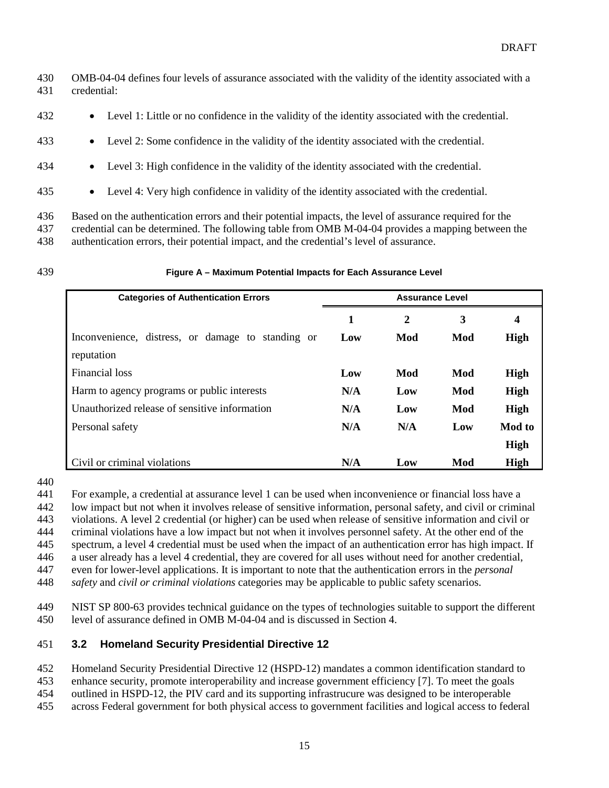- OMB-04-04 defines four levels of assurance associated with the validity of the identity associated with a credential:
- Level 1: Little or no confidence in the validity of the identity associated with the credential.
- Level 2: Some confidence in the validity of the identity associated with the credential.
- Level 3: High confidence in the validity of the identity associated with the credential.
- Level 4: Very high confidence in validity of the identity associated with the credential.
- Based on the authentication errors and their potential impacts, the level of assurance required for the credential can be determined. The following table from OMB M-04-04 provides a mapping between the authentication errors, their potential impact, and the credential's level of assurance.
- 

#### **Figure A – Maximum Potential Impacts for Each Assurance Level**

| <b>Categories of Authentication Errors</b>        | <b>Assurance Level</b> |     |     |                         |
|---------------------------------------------------|------------------------|-----|-----|-------------------------|
|                                                   | 1                      | 2   | 3   | $\overline{\mathbf{4}}$ |
| Inconvenience, distress, or damage to standing or | Low                    | Mod | Mod | High                    |
| reputation                                        |                        |     |     |                         |
| Financial loss                                    | Low                    | Mod | Mod | High                    |
| Harm to agency programs or public interests       | N/A                    | Low | Mod | High                    |
| Unauthorized release of sensitive information     | N/A                    | Low | Mod | High                    |
| Personal safety                                   | N/A                    | N/A | Low | <b>Mod</b> to           |
|                                                   |                        |     |     | High                    |
| Civil or criminal violations                      | N/A                    | Low | Mod | High                    |

For example, a credential at assurance level 1 can be used when inconvenience or financial loss have a

low impact but not when it involves release of sensitive information, personal safety, and civil or criminal

violations. A level 2 credential (or higher) can be used when release of sensitive information and civil or

criminal violations have a low impact but not when it involves personnel safety. At the other end of the

spectrum, a level 4 credential must be used when the impact of an authentication error has high impact. If

a user already has a level 4 credential, they are covered for all uses without need for another credential,

 even for lower-level applications. It is important to note that the authentication errors in the *personal safety* and *civil or criminal violations* categories may be applicable to public safety scenarios.

 NIST SP 800-63 provides technical guidance on the types of technologies suitable to support the different level of assurance defined in OMB M-04-04 and is discussed in Section 4.

#### **3.2 Homeland Security Presidential Directive 12**

Homeland Security Presidential Directive 12 (HSPD-12) mandates a common identification standard to

enhance security, promote interoperability and increase government efficiency [7]. To meet the goals

outlined in HSPD-12, the PIV card and its supporting infrastrucure was designed to be interoperable

across Federal government for both physical access to government facilities and logical access to federal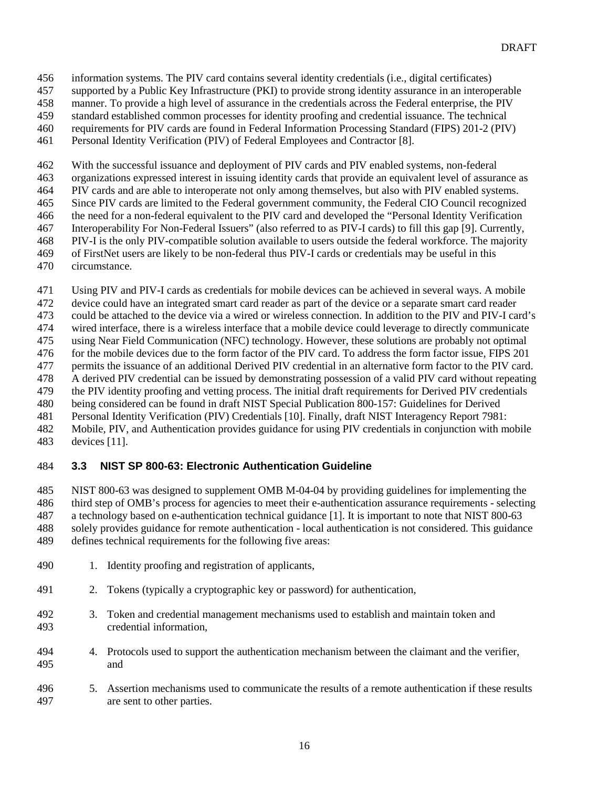- information systems. The PIV card contains several identity credentials (i.e., digital certificates)
- supported by a Public Key Infrastructure (PKI) to provide strong identity assurance in an interoperable
- manner. To provide a high level of assurance in the credentials across the Federal enterprise, the PIV
- standard established common processes for identity proofing and credential issuance. The technical
- requirements for PIV cards are found in Federal Information Processing Standard (FIPS) 201-2 (PIV)
- Personal Identity Verification (PIV) of Federal Employees and Contractor [8].
- With the successful issuance and deployment of PIV cards and PIV enabled systems, non-federal
- organizations expressed interest in issuing identity cards that provide an equivalent level of assurance as
- PIV cards and are able to interoperate not only among themselves, but also with PIV enabled systems.
- Since PIV cards are limited to the Federal government community, the Federal CIO Council recognized
- the need for a non-federal equivalent to the PIV card and developed the "Personal Identity Verification
- Interoperability For Non-Federal Issuers" (also referred to as PIV-I cards) to fill this gap [9]. Currently,
- PIV-I is the only PIV-compatible solution available to users outside the federal workforce. The majority
- of FirstNet users are likely to be non-federal thus PIV-I cards or credentials may be useful in this
- circumstance.
- Using PIV and PIV-I cards as credentials for mobile devices can be achieved in several ways. A mobile
- device could have an integrated smart card reader as part of the device or a separate smart card reader
- could be attached to the device via a wired or wireless connection. In addition to the PIV and PIV-I card's
- wired interface, there is a wireless interface that a mobile device could leverage to directly communicate
- using Near Field Communication (NFC) technology. However, these solutions are probably not optimal
- for the mobile devices due to the form factor of the PIV card. To address the form factor issue, FIPS 201
- permits the issuance of an additional Derived PIV credential in an alternative form factor to the PIV card. A derived PIV credential can be issued by demonstrating possession of a valid PIV card without repeating
- the PIV identity proofing and vetting process. The initial draft requirements for Derived PIV credentials
- being considered can be found in draft NIST Special Publication 800-157: Guidelines for Derived
- Personal Identity Verification (PIV) Credentials [10]. Finally, draft NIST Interagency Report 7981:
- Mobile, PIV, and Authentication provides guidance for using PIV credentials in conjunction with mobile
- devices [11].

# <span id="page-17-0"></span>**3.3 NIST SP 800-63: Electronic Authentication Guideline**

- NIST 800-63 was designed to supplement OMB M-04-04 by providing guidelines for implementing the
- third step of OMB's process for agencies to meet their e-authentication assurance requirements selecting
- a technology based on e-authentication technical guidance [1]. It is important to note that NIST 800-63
- solely provides guidance for remote authentication local authentication is not considered. This guidance
- defines technical requirements for the following five areas:
- 490 1. Identity proofing and registration of applicants,
- 2. Tokens (typically a cryptographic key or password) for authentication,
- 3. Token and credential management mechanisms used to establish and maintain token and credential information,
- 4. Protocols used to support the authentication mechanism between the claimant and the verifier, and
- 5. Assertion mechanisms used to communicate the results of a remote authentication if these results are sent to other parties.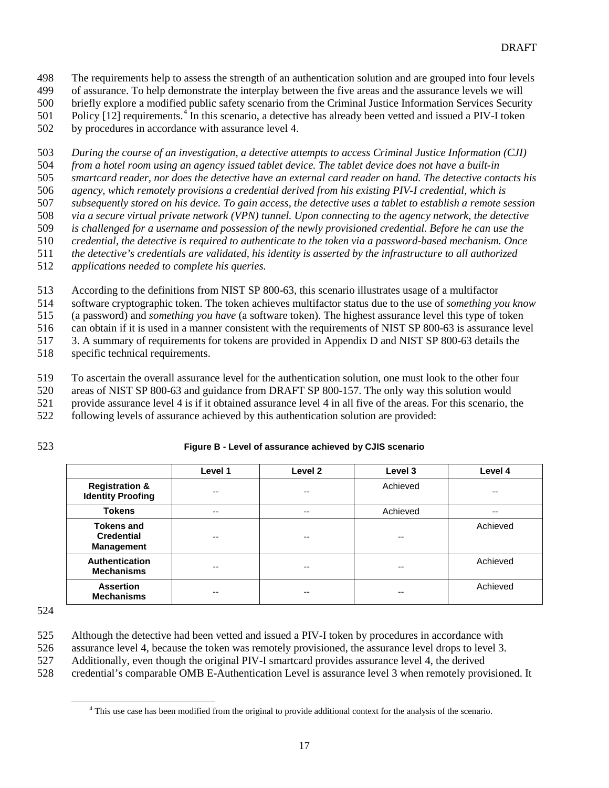The requirements help to assess the strength of an authentication solution and are grouped into four levels

of assurance. To help demonstrate the interplay between the five areas and the assurance levels we will

briefly explore a modified public safety scenario from the Criminal Justice Information Services Security

501 Policy  $[12]$  requirements.<sup>[4](#page-18-0)</sup> In this scenario, a detective has already been vetted and issued a PIV-I token

by procedures in accordance with assurance level 4.

*During the course of an investigation, a detective attempts to access Criminal Justice Information (CJI)* 

*from a hotel room using an agency issued tablet device. The tablet device does not have a built-in* 

*smartcard reader, nor does the detective have an external card reader on hand. The detective contacts his* 

*agency, which remotely provisions a credential derived from his existing PIV-I credential, which is* 

*subsequently stored on his device. To gain access, the detective uses a tablet to establish a remote session* 

*via a secure virtual private network (VPN) tunnel. Upon connecting to the agency network, the detective* 

 *is challenged for a username and possession of the newly provisioned credential. Before he can use the credential, the detective is required to authenticate to the token via a password-based mechanism. Once* 

*the detective's credentials are validated, his identity is asserted by the infrastructure to all authorized* 

*applications needed to complete his queries.*

According to the definitions from NIST SP 800-63, this scenario illustrates usage of a multifactor

software cryptographic token. The token achieves multifactor status due to the use of *something you know* 

(a password) and *something you have* (a software token). The highest assurance level this type of token

can obtain if it is used in a manner consistent with the requirements of NIST SP 800-63 is assurance level

3. A summary of requirements for tokens are provided in Appendix D and NIST SP 800-63 details the

specific technical requirements.

To ascertain the overall assurance level for the authentication solution, one must look to the other four

areas of NIST SP 800-63 and guidance from DRAFT SP 800-157. The only way this solution would

provide assurance level 4 is if it obtained assurance level 4 in all five of the areas. For this scenario, the

following levels of assurance achieved by this authentication solution are provided:

**Figure B - Level of assurance achieved by CJIS scenario** 

|                                                             | Level 1 | Level 2 | Level 3  | Level 4  |
|-------------------------------------------------------------|---------|---------|----------|----------|
| <b>Registration &amp;</b><br><b>Identity Proofing</b>       | $-$     | --      | Achieved | --       |
| <b>Tokens</b>                                               | $- -$   | --      | Achieved | --       |
| <b>Tokens and</b><br><b>Credential</b><br><b>Management</b> | $-$     | --      | --       | Achieved |
| Authentication<br><b>Mechanisms</b>                         | --      | --      | --       | Achieved |
| <b>Assertion</b><br><b>Mechanisms</b>                       | --      | --      | --       | Achieved |

Although the detective had been vetted and issued a PIV-I token by procedures in accordance with

assurance level 4, because the token was remotely provisioned, the assurance level drops to level 3.

Additionally, even though the original PIV-I smartcard provides assurance level 4, the derived

<span id="page-18-0"></span>credential's comparable OMB E-Authentication Level is assurance level 3 when remotely provisioned. It

<sup>&</sup>lt;sup>4</sup> This use case has been modified from the original to provide additional context for the analysis of the scenario.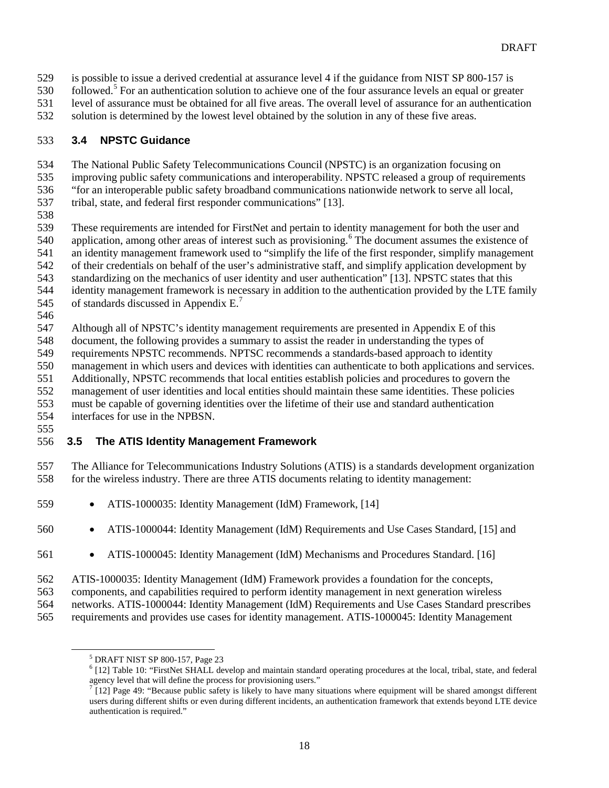- is possible to issue a derived credential at assurance level 4 if the guidance from NIST SP 800-157 is
- 30 followed.<sup>5</sup> For an authentication solution to achieve one of the four assurance levels an equal or greater
- level of assurance must be obtained for all five areas. The overall level of assurance for an authentication
- solution is determined by the lowest level obtained by the solution in any of these five areas.

#### **3.4 NPSTC Guidance**

The National Public Safety Telecommunications Council (NPSTC) is an organization focusing on

- improving public safety communications and interoperability. NPSTC released a group of requirements
- "for an interoperable public safety broadband communications nationwide network to serve all local,
- tribal, state, and federal first responder communications" [13].
- 
- These requirements are intended for FirstNet and pertain to identity management for both the user and
- 540 application, among other areas of interest such as provisioning.<sup>[6](#page-19-1)</sup> The document assumes the existence of
- an identity management framework used to "simplify the life of the first responder, simplify management
- of their credentials on behalf of the user's administrative staff, and simplify application development by
- standardizing on the mechanics of user identity and user authentication" [13]. NPSTC states that this
- identity management framework is necessary in addition to the authentication provided by the LTE family
- 545 of standards discussed in Appendix  $E^7$  $E^7$ .
- 

Although all of NPSTC's identity management requirements are presented in Appendix E of this

- document, the following provides a summary to assist the reader in understanding the types of
- requirements NPSTC recommends. NPTSC recommends a standards-based approach to identity
- management in which users and devices with identities can authenticate to both applications and services.
- Additionally, NPSTC recommends that local entities establish policies and procedures to govern the
- management of user identities and local entities should maintain these same identities. These policies
- must be capable of governing identities over the lifetime of their use and standard authentication
- interfaces for use in the NPBSN.
- 

### **3.5 The ATIS Identity Management Framework**

 The Alliance for Telecommunications Industry Solutions (ATIS) is a standards development organization for the wireless industry. There are three ATIS documents relating to identity management:

- ATIS-1000035: Identity Management (IdM) Framework, [14]
- ATIS-1000044: Identity Management (IdM) Requirements and Use Cases Standard, [15] and
- ATIS-1000045: Identity Management (IdM) Mechanisms and Procedures Standard. [16]
- ATIS-1000035: Identity Management (IdM) Framework provides a foundation for the concepts,
- components, and capabilities required to perform identity management in next generation wireless
- networks. ATIS-1000044: Identity Management (IdM) Requirements and Use Cases Standard prescribes
- <span id="page-19-2"></span><span id="page-19-1"></span><span id="page-19-0"></span>requirements and provides use cases for identity management. ATIS-1000045: Identity Management

<sup>&</sup>lt;sup>5</sup> DRAFT NIST SP 800-157, Page 23<br><sup>6</sup> [12] Table 10: "FirstNet SHALL develop and maintain standard operating procedures at the local, tribal, state, and federal agency level that will define the process for provisioning

<sup>[12]</sup> Page 49: "Because public safety is likely to have many situations where equipment will be shared amongst different users during different shifts or even during different incidents, an authentication framework that extends beyond LTE device authentication is required."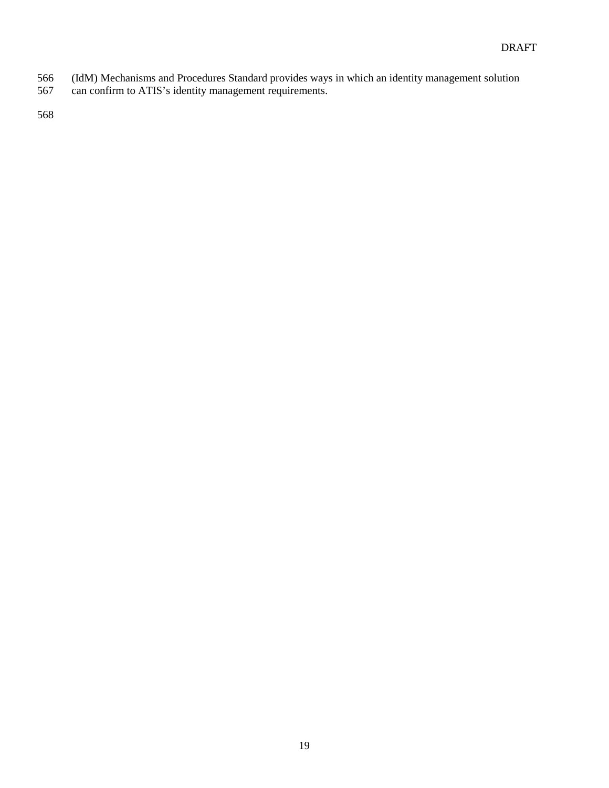- (IdM) Mechanisms and Procedures Standard provides ways in which an identity management solution
- can confirm to ATIS's identity management requirements.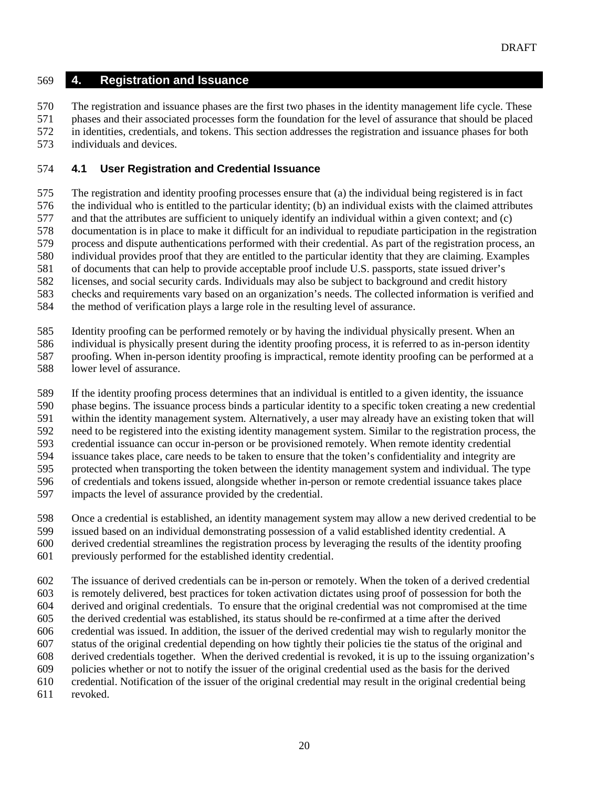#### **4. Registration and Issuance**

 The registration and issuance phases are the first two phases in the identity management life cycle. These phases and their associated processes form the foundation for the level of assurance that should be placed in identities, credentials, and tokens. This section addresses the registration and issuance phases for both individuals and devices.

#### **4.1 User Registration and Credential Issuance**

The registration and identity proofing processes ensure that (a) the individual being registered is in fact

the individual who is entitled to the particular identity; (b) an individual exists with the claimed attributes

 and that the attributes are sufficient to uniquely identify an individual within a given context; and (c) documentation is in place to make it difficult for an individual to repudiate participation in the registration

process and dispute authentications performed with their credential. As part of the registration process, an

individual provides proof that they are entitled to the particular identity that they are claiming. Examples

of documents that can help to provide acceptable proof include U.S. passports, state issued driver's

licenses, and social security cards. Individuals may also be subject to background and credit history

checks and requirements vary based on an organization's needs. The collected information is verified and

the method of verification plays a large role in the resulting level of assurance.

Identity proofing can be performed remotely or by having the individual physically present. When an

individual is physically present during the identity proofing process, it is referred to as in-person identity

proofing. When in-person identity proofing is impractical, remote identity proofing can be performed at a

lower level of assurance.

If the identity proofing process determines that an individual is entitled to a given identity, the issuance

phase begins. The issuance process binds a particular identity to a specific token creating a new credential

within the identity management system. Alternatively, a user may already have an existing token that will

need to be registered into the existing identity management system. Similar to the registration process, the

credential issuance can occur in-person or be provisioned remotely. When remote identity credential

issuance takes place, care needs to be taken to ensure that the token's confidentiality and integrity are

protected when transporting the token between the identity management system and individual. The type

of credentials and tokens issued, alongside whether in-person or remote credential issuance takes place

impacts the level of assurance provided by the credential.

Once a credential is established, an identity management system may allow a new derived credential to be

issued based on an individual demonstrating possession of a valid established identity credential. A

derived credential streamlines the registration process by leveraging the results of the identity proofing

previously performed for the established identity credential.

 The issuance of derived credentials can be in-person or remotely. When the token of a derived credential is remotely delivered, best practices for token activation dictates using proof of possession for both the

derived and original credentials. To ensure that the original credential was not compromised at the time

the derived credential was established, its status should be re-confirmed at a time after the derived

credential was issued. In addition, the issuer of the derived credential may wish to regularly monitor the

status of the original credential depending on how tightly their policies tie the status of the original and

 derived credentials together. When the derived credential is revoked, it is up to the issuing organization's policies whether or not to notify the issuer of the original credential used as the basis for the derived

credential. Notification of the issuer of the original credential may result in the original credential being

revoked.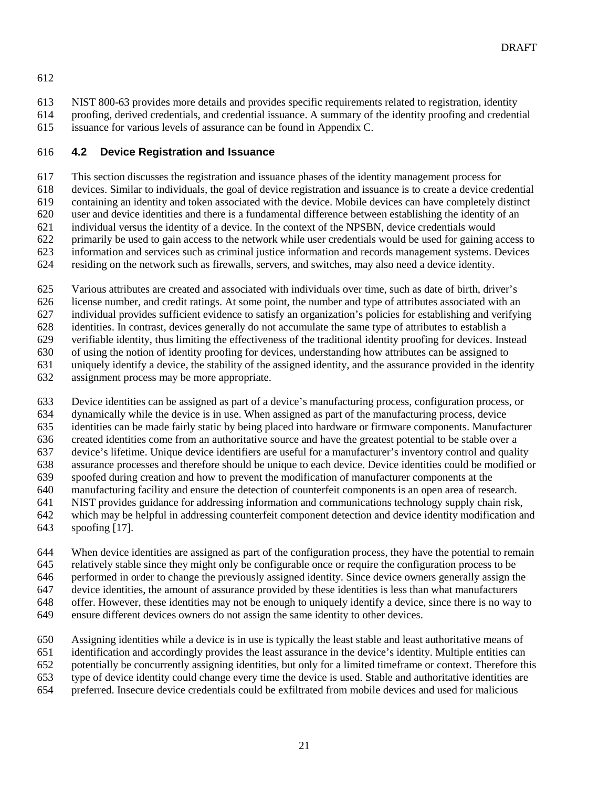- NIST 800-63 provides more details and provides specific requirements related to registration, identity proofing, derived credentials, and credential issuance. A summary of the identity proofing and credential
- issuance for various levels of assurance can be found in Appendix C.

#### **4.2 Device Registration and Issuance**

This section discusses the registration and issuance phases of the identity management process for

- devices. Similar to individuals, the goal of device registration and issuance is to create a device credential
- containing an identity and token associated with the device. Mobile devices can have completely distinct
- user and device identities and there is a fundamental difference between establishing the identity of an
- individual versus the identity of a device. In the context of the NPSBN, device credentials would
- primarily be used to gain access to the network while user credentials would be used for gaining access to
- information and services such as criminal justice information and records management systems. Devices residing on the network such as firewalls, servers, and switches, may also need a device identity.
- 
- Various attributes are created and associated with individuals over time, such as date of birth, driver's
- license number, and credit ratings. At some point, the number and type of attributes associated with an
- individual provides sufficient evidence to satisfy an organization's policies for establishing and verifying
- identities. In contrast, devices generally do not accumulate the same type of attributes to establish a
- verifiable identity, thus limiting the effectiveness of the traditional identity proofing for devices. Instead
- of using the notion of identity proofing for devices, understanding how attributes can be assigned to
- 631 uniquely identify a device, the stability of the assigned identity, and the assurance provided in the identity assignment process may be more appropriate.
- assignment process may be more appropriate.
- Device identities can be assigned as part of a device's manufacturing process, configuration process, or
- dynamically while the device is in use. When assigned as part of the manufacturing process, device
- identities can be made fairly static by being placed into hardware or firmware components. Manufacturer
- created identities come from an authoritative source and have the greatest potential to be stable over a
- device's lifetime. Unique device identifiers are useful for a manufacturer's inventory control and quality assurance processes and therefore should be unique to each device. Device identities could be modified or
- spoofed during creation and how to prevent the modification of manufacturer components at the
- manufacturing facility and ensure the detection of counterfeit components is an open area of research.
- NIST provides guidance for addressing information and communications technology supply chain risk,
- which may be helpful in addressing counterfeit component detection and device identity modification and
- spoofing [17].
- When device identities are assigned as part of the configuration process, they have the potential to remain
- relatively stable since they might only be configurable once or require the configuration process to be
- performed in order to change the previously assigned identity. Since device owners generally assign the
- device identities, the amount of assurance provided by these identities is less than what manufacturers
- offer. However, these identities may not be enough to uniquely identify a device, since there is no way to
- ensure different devices owners do not assign the same identity to other devices.
- Assigning identities while a device is in use is typically the least stable and least authoritative means of
- identification and accordingly provides the least assurance in the device's identity. Multiple entities can
- potentially be concurrently assigning identities, but only for a limited timeframe or context. Therefore this
- type of device identity could change every time the device is used. Stable and authoritative identities are
- preferred. Insecure device credentials could be exfiltrated from mobile devices and used for malicious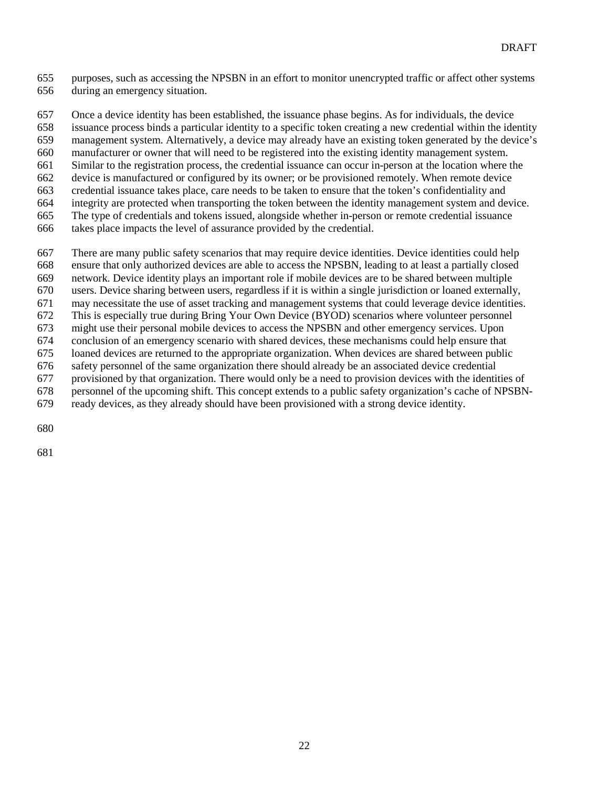purposes, such as accessing the NPSBN in an effort to monitor unencrypted traffic or affect other systems during an emergency situation.

 Once a device identity has been established, the issuance phase begins. As for individuals, the device issuance process binds a particular identity to a specific token creating a new credential within the identity management system. Alternatively, a device may already have an existing token generated by the device's manufacturer or owner that will need to be registered into the existing identity management system. Similar to the registration process, the credential issuance can occur in-person at the location where the device is manufactured or configured by its owner; or be provisioned remotely. When remote device credential issuance takes place, care needs to be taken to ensure that the token's confidentiality and integrity are protected when transporting the token between the identity management system and device. The type of credentials and tokens issued, alongside whether in-person or remote credential issuance

takes place impacts the level of assurance provided by the credential.

There are many public safety scenarios that may require device identities. Device identities could help

ensure that only authorized devices are able to access the NPSBN, leading to at least a partially closed

network. Device identity plays an important role if mobile devices are to be shared between multiple

users. Device sharing between users, regardless if it is within a single jurisdiction or loaned externally, may necessitate the use of asset tracking and management systems that could leverage device identities.

This is especially true during Bring Your Own Device (BYOD) scenarios where volunteer personnel

might use their personal mobile devices to access the NPSBN and other emergency services. Upon

conclusion of an emergency scenario with shared devices, these mechanisms could help ensure that

loaned devices are returned to the appropriate organization. When devices are shared between public

safety personnel of the same organization there should already be an associated device credential

provisioned by that organization. There would only be a need to provision devices with the identities of

 personnel of the upcoming shift. This concept extends to a public safety organization's cache of NPSBN-ready devices, as they already should have been provisioned with a strong device identity.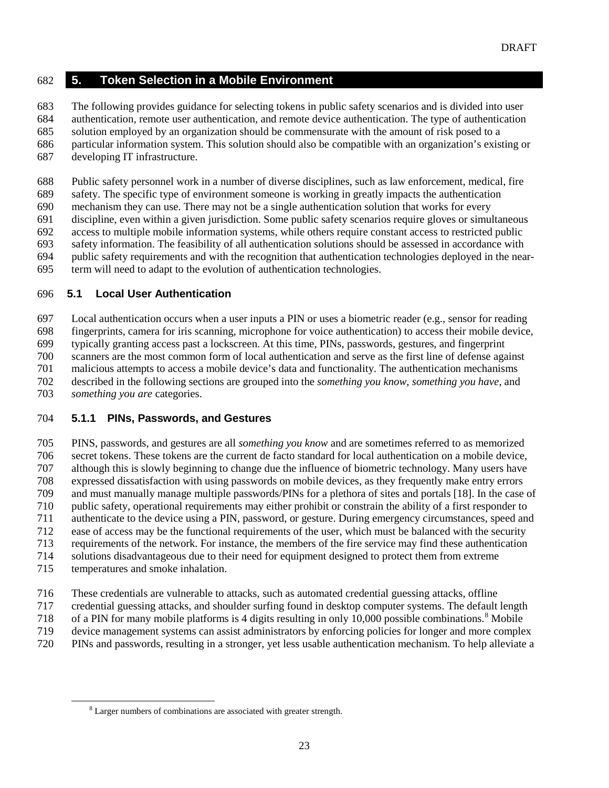#### **5. Token Selection in a Mobile Environment**

The following provides guidance for selecting tokens in public safety scenarios and is divided into user

authentication, remote user authentication, and remote device authentication. The type of authentication

 solution employed by an organization should be commensurate with the amount of risk posed to a particular information system. This solution should also be compatible with an organization's existing or

developing IT infrastructure.

Public safety personnel work in a number of diverse disciplines, such as law enforcement, medical, fire

safety. The specific type of environment someone is working in greatly impacts the authentication

mechanism they can use. There may not be a single authentication solution that works for every

discipline, even within a given jurisdiction. Some public safety scenarios require gloves or simultaneous

access to multiple mobile information systems, while others require constant access to restricted public

safety information. The feasibility of all authentication solutions should be assessed in accordance with

 public safety requirements and with the recognition that authentication technologies deployed in the near-term will need to adapt to the evolution of authentication technologies.

#### **5.1 Local User Authentication**

 Local authentication occurs when a user inputs a PIN or uses a biometric reader (e.g., sensor for reading fingerprints, camera for iris scanning, microphone for voice authentication) to access their mobile device, typically granting access past a lockscreen. At this time, PINs, passwords, gestures, and fingerprint scanners are the most common form of local authentication and serve as the first line of defense against malicious attempts to access a mobile device's data and functionality. The authentication mechanisms described in the following sections are grouped into the *something you know*, *something you have*, and *something you are* categories.

### **5.1.1 PINs, Passwords, and Gestures**

 PINS, passwords, and gestures are all *something you know* and are sometimes referred to as memorized secret tokens. These tokens are the current de facto standard for local authentication on a mobile device, although this is slowly beginning to change due the influence of biometric technology. Many users have expressed dissatisfaction with using passwords on mobile devices, as they frequently make entry errors and must manually manage multiple passwords/PINs for a plethora of sites and portals [18]. In the case of public safety, operational requirements may either prohibit or constrain the ability of a first responder to authenticate to the device using a PIN, password, or gesture. During emergency circumstances, speed and ease of access may be the functional requirements of the user, which must be balanced with the security requirements of the network. For instance, the members of the fire service may find these authentication solutions disadvantageous due to their need for equipment designed to protect them from extreme temperatures and smoke inhalation.

- These credentials are vulnerable to attacks, such as automated credential guessing attacks, offline
- credential guessing attacks, and shoulder surfing found in desktop computer systems. The default length
- 71[8](#page-24-0) of a PIN for many mobile platforms is 4 digits resulting in only  $10,000$  possible combinations.<sup>8</sup> Mobile
- device management systems can assist administrators by enforcing policies for longer and more complex
- <span id="page-24-0"></span>PINs and passwords, resulting in a stronger, yet less usable authentication mechanism. To help alleviate a

<sup>&</sup>lt;sup>8</sup> Larger numbers of combinations are associated with greater strength.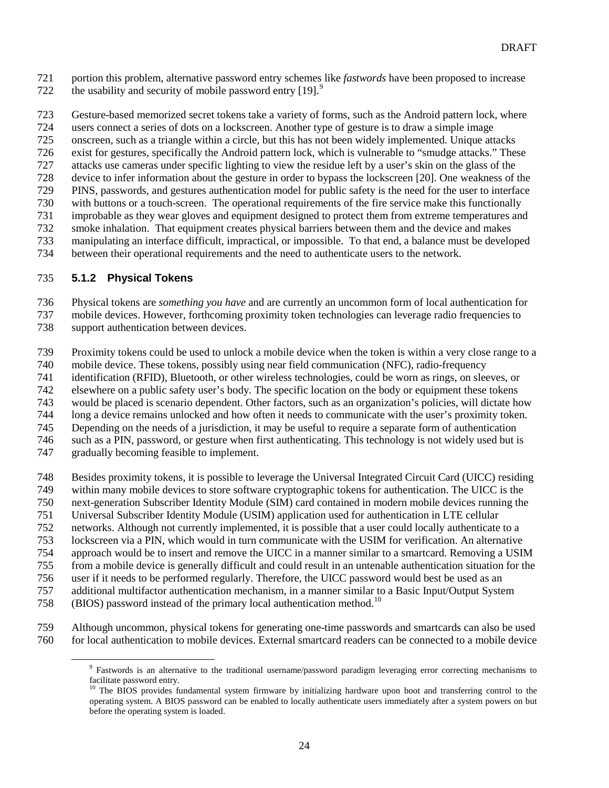portion this problem, alternative password entry schemes like *fastwords* have been proposed to increase 722 the usability and security of mobile password entry [1[9](#page-25-0)].<sup>9</sup>

 Gesture-based memorized secret tokens take a variety of forms, such as the Android pattern lock, where users connect a series of dots on a lockscreen. Another type of gesture is to draw a simple image onscreen, such as a triangle within a circle, but this has not been widely implemented. Unique attacks exist for gestures, specifically the Android pattern lock, which is vulnerable to "smudge attacks." These attacks use cameras under specific lighting to view the residue left by a user's skin on the glass of the device to infer information about the gesture in order to bypass the lockscreen [20]. One weakness of the PINS, passwords, and gestures authentication model for public safety is the need for the user to interface with buttons or a touch-screen. The operational requirements of the fire service make this functionally improbable as they wear gloves and equipment designed to protect them from extreme temperatures and smoke inhalation. That equipment creates physical barriers between them and the device and makes manipulating an interface difficult, impractical, or impossible. To that end, a balance must be developed between their operational requirements and the need to authenticate users to the network.

#### **5.1.2 Physical Tokens**

Physical tokens are *something you have* and are currently an uncommon form of local authentication for

- mobile devices. However, forthcoming proximity token technologies can leverage radio frequencies to
- support authentication between devices.
- Proximity tokens could be used to unlock a mobile device when the token is within a very close range to a
- 740 mobile device. These tokens, possibly using near field communication (NFC), radio-frequency<br>741 identification (RFID), Bluetooth, or other wireless technologies, could be worn as rings, on slee
- identification (RFID), Bluetooth, or other wireless technologies, could be worn as rings, on sleeves, or
- elsewhere on a public safety user's body. The specific location on the body or equipment these tokens
- would be placed is scenario dependent. Other factors, such as an organization's policies, will dictate how
- long a device remains unlocked and how often it needs to communicate with the user's proximity token.
- Depending on the needs of a jurisdiction, it may be useful to require a separate form of authentication
- such as a PIN, password, or gesture when first authenticating. This technology is not widely used but is
- gradually becoming feasible to implement.
- Besides proximity tokens, it is possible to leverage the Universal Integrated Circuit Card (UICC) residing
- within many mobile devices to store software cryptographic tokens for authentication. The UICC is the
- next-generation Subscriber Identity Module (SIM) card contained in modern mobile devices running the
- Universal Subscriber Identity Module (USIM) application used for authentication in LTE cellular
- networks. Although not currently implemented, it is possible that a user could locally authenticate to a
- lockscreen via a PIN, which would in turn communicate with the USIM for verification. An alternative
- approach would be to insert and remove the UICC in a manner similar to a smartcard. Removing a USIM
- from a mobile device is generally difficult and could result in an untenable authentication situation for the
- user if it needs to be performed regularly. Therefore, the UICC password would best be used as an
- additional multifactor authentication mechanism, in a manner similar to a Basic Input/Output System
- (BIOS) password instead of the primary local authentication method.<sup>[10](#page-25-1)</sup>
- <span id="page-25-1"></span><span id="page-25-0"></span> Although uncommon, physical tokens for generating one-time passwords and smartcards can also be used for local authentication to mobile devices. External smartcard readers can be connected to a mobile device

 Fastwords is an alternative to the traditional username/password paradigm leveraging error correcting mechanisms to facilitate password entry.

<sup>&</sup>lt;sup>10</sup> The BIOS provides fundamental system firmware by initializing hardware upon boot and transferring control to the operating system. A BIOS password can be enabled to locally authenticate users immediately after a system powers on but before the operating system is loaded.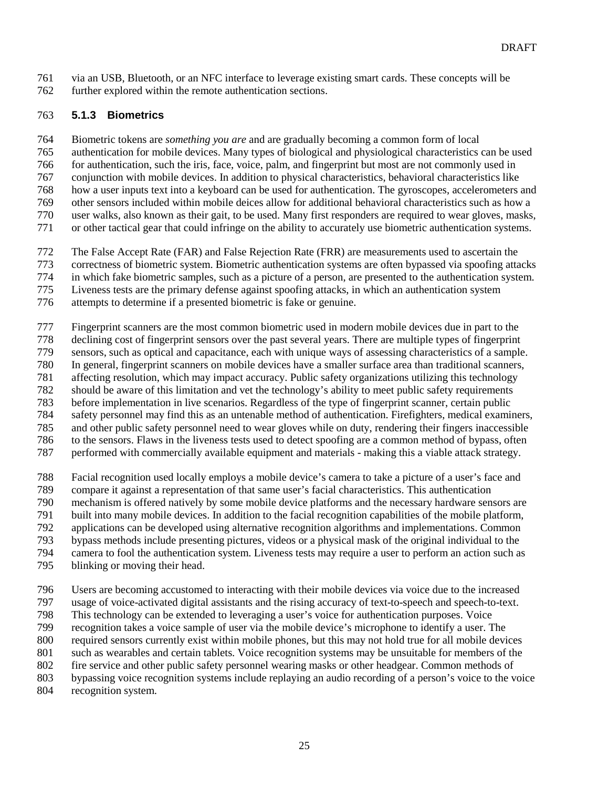via an USB, Bluetooth, or an NFC interface to leverage existing smart cards. These concepts will be further explored within the remote authentication sections.

#### **5.1.3 Biometrics**

 Biometric tokens are *something you are* and are gradually becoming a common form of local authentication for mobile devices. Many types of biological and physiological characteristics can be used for authentication, such the iris, face, voice, palm, and fingerprint but most are not commonly used in conjunction with mobile devices. In addition to physical characteristics, behavioral characteristics like how a user inputs text into a keyboard can be used for authentication. The gyroscopes, accelerometers and other sensors included within mobile deices allow for additional behavioral characteristics such as how a user walks, also known as their gait, to be used. Many first responders are required to wear gloves, masks,

or other tactical gear that could infringe on the ability to accurately use biometric authentication systems.

The False Accept Rate (FAR) and False Rejection Rate (FRR) are measurements used to ascertain the

correctness of biometric system. Biometric authentication systems are often bypassed via spoofing attacks

in which fake biometric samples, such as a picture of a person, are presented to the authentication system.

Liveness tests are the primary defense against spoofing attacks, in which an authentication system

attempts to determine if a presented biometric is fake or genuine.

Fingerprint scanners are the most common biometric used in modern mobile devices due in part to the

declining cost of fingerprint sensors over the past several years. There are multiple types of fingerprint

sensors, such as optical and capacitance, each with unique ways of assessing characteristics of a sample.

780 In general, fingerprint scanners on mobile devices have a smaller surface area than traditional scanners,<br>781 affecting resolution, which may impact accuracy. Public safety organizations utilizing this technology

affecting resolution, which may impact accuracy. Public safety organizations utilizing this technology should be aware of this limitation and vet the technology's ability to meet public safety requirements

before implementation in live scenarios. Regardless of the type of fingerprint scanner, certain public

safety personnel may find this as an untenable method of authentication. Firefighters, medical examiners,

and other public safety personnel need to wear gloves while on duty, rendering their fingers inaccessible

to the sensors. Flaws in the liveness tests used to detect spoofing are a common method of bypass, often

performed with commercially available equipment and materials - making this a viable attack strategy.

Facial recognition used locally employs a mobile device's camera to take a picture of a user's face and

compare it against a representation of that same user's facial characteristics. This authentication

mechanism is offered natively by some mobile device platforms and the necessary hardware sensors are

built into many mobile devices. In addition to the facial recognition capabilities of the mobile platform,

applications can be developed using alternative recognition algorithms and implementations. Common

bypass methods include presenting pictures, videos or a physical mask of the original individual to the

camera to fool the authentication system. Liveness tests may require a user to perform an action such as

blinking or moving their head.

Users are becoming accustomed to interacting with their mobile devices via voice due to the increased

usage of voice-activated digital assistants and the rising accuracy of text-to-speech and speech-to-text.

This technology can be extended to leveraging a user's voice for authentication purposes. Voice

recognition takes a voice sample of user via the mobile device's microphone to identify a user. The

required sensors currently exist within mobile phones, but this may not hold true for all mobile devices

such as wearables and certain tablets. Voice recognition systems may be unsuitable for members of the

fire service and other public safety personnel wearing masks or other headgear. Common methods of

bypassing voice recognition systems include replaying an audio recording of a person's voice to the voice

recognition system.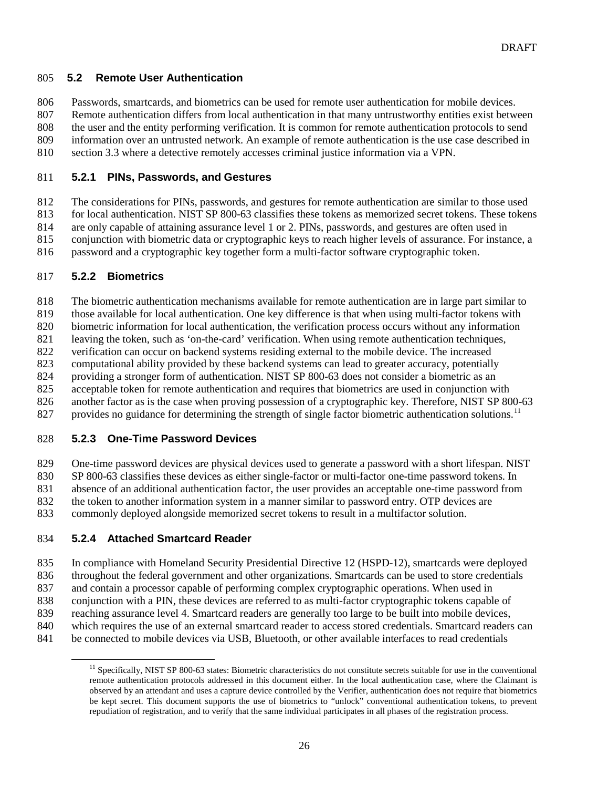#### **5.2 Remote User Authentication**

Passwords, smartcards, and biometrics can be used for remote user authentication for mobile devices.

Remote authentication differs from local authentication in that many untrustworthy entities exist between

the user and the entity performing verification. It is common for remote authentication protocols to send

 information over an untrusted network. An example of remote authentication is the use case described in section [3.3](#page-17-0) where a detective remotely accesses criminal justice information via a VPN.

#### **5.2.1 PINs, Passwords, and Gestures**

 The considerations for PINs, passwords, and gestures for remote authentication are similar to those used for local authentication. NIST SP 800-63 classifies these tokens as memorized secret tokens. These tokens

are only capable of attaining assurance level 1 or 2. PINs, passwords, and gestures are often used in

conjunction with biometric data or cryptographic keys to reach higher levels of assurance. For instance, a

password and a cryptographic key together form a multi-factor software cryptographic token.

#### **5.2.2 Biometrics**

The biometric authentication mechanisms available for remote authentication are in large part similar to

those available for local authentication. One key difference is that when using multi-factor tokens with

biometric information for local authentication, the verification process occurs without any information

leaving the token, such as 'on-the-card' verification. When using remote authentication techniques,

verification can occur on backend systems residing external to the mobile device. The increased

computational ability provided by these backend systems can lead to greater accuracy, potentially

providing a stronger form of authentication. NIST SP 800-63 does not consider a biometric as an

acceptable token for remote authentication and requires that biometrics are used in conjunction with

826 another factor as is the case when proving possession of a cryptographic key. Therefore, NIST SP 800-63

827 provides no guidance for determining the strength of single factor biometric authentication solutions.<sup>[11](#page-27-0)</sup>

### **5.2.3 One-Time Password Devices**

One-time password devices are physical devices used to generate a password with a short lifespan. NIST

SP 800-63 classifies these devices as either single-factor or multi-factor one-time password tokens. In

absence of an additional authentication factor, the user provides an acceptable one-time password from

the token to another information system in a manner similar to password entry. OTP devices are

commonly deployed alongside memorized secret tokens to result in a multifactor solution.

### **5.2.4 Attached Smartcard Reader**

In compliance with Homeland Security Presidential Directive 12 (HSPD-12), smartcards were deployed

throughout the federal government and other organizations. Smartcards can be used to store credentials

and contain a processor capable of performing complex cryptographic operations. When used in

conjunction with a PIN, these devices are referred to as multi-factor cryptographic tokens capable of

reaching assurance level 4. Smartcard readers are generally too large to be built into mobile devices,

which requires the use of an external smartcard reader to access stored credentials. Smartcard readers can

<span id="page-27-0"></span>be connected to mobile devices via USB, Bluetooth, or other available interfaces to read credentials

<sup>&</sup>lt;sup>11</sup> Specifically, NIST SP 800-63 states: Biometric characteristics do not constitute secrets suitable for use in the conventional remote authentication protocols addressed in this document either. In the local authentication case, where the Claimant is observed by an attendant and uses a capture device controlled by the Verifier, authentication does not require that biometrics be kept secret. This document supports the use of biometrics to "unlock" conventional authentication tokens, to prevent repudiation of registration, and to verify that the same individual participates in all phases of the registration process.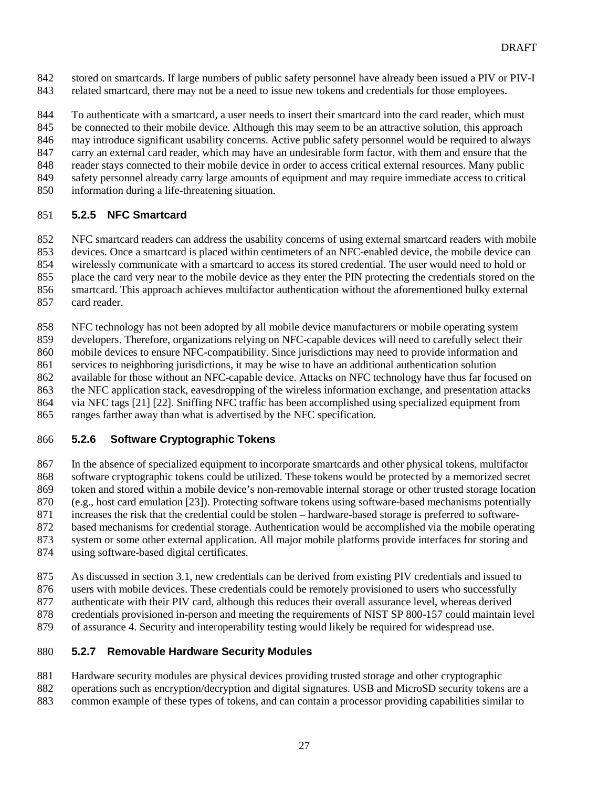stored on smartcards. If large numbers of public safety personnel have already been issued a PIV or PIV-I related smartcard, there may not be a need to issue new tokens and credentials for those employees.

 To authenticate with a smartcard, a user needs to insert their smartcard into the card reader, which must be connected to their mobile device. Although this may seem to be an attractive solution, this approach may introduce significant usability concerns. Active public safety personnel would be required to always carry an external card reader, which may have an undesirable form factor, with them and ensure that the reader stays connected to their mobile device in order to access critical external resources. Many public safety personnel already carry large amounts of equipment and may require immediate access to critical information during a life-threatening situation.

#### **5.2.5 NFC Smartcard**

NFC smartcard readers can address the usability concerns of using external smartcard readers with mobile

devices. Once a smartcard is placed within centimeters of an NFC-enabled device, the mobile device can

 wirelessly communicate with a smartcard to access its stored credential. The user would need to hold or place the card very near to the mobile device as they enter the PIN protecting the credentials stored on the

smartcard. This approach achieves multifactor authentication without the aforementioned bulky external

card reader.

NFC technology has not been adopted by all mobile device manufacturers or mobile operating system

developers. Therefore, organizations relying on NFC-capable devices will need to carefully select their

mobile devices to ensure NFC-compatibility. Since jurisdictions may need to provide information and

services to neighboring jurisdictions, it may be wise to have an additional authentication solution

 available for those without an NFC-capable device. Attacks on NFC technology have thus far focused on the NFC application stack, eavesdropping of the wireless information exchange, and presentation attacks

via NFC tags [21] [22]. Sniffing NFC traffic has been accomplished using specialized equipment from

ranges farther away than what is advertised by the NFC specification.

### **5.2.6 Software Cryptographic Tokens**

 In the absence of specialized equipment to incorporate smartcards and other physical tokens, multifactor software cryptographic tokens could be utilized. These tokens would be protected by a memorized secret token and stored within a mobile device's non-removable internal storage or other trusted storage location (e.g., host card emulation [23]). Protecting software tokens using software-based mechanisms potentially increases the risk that the credential could be stolen – hardware-based storage is preferred to software- based mechanisms for credential storage. Authentication would be accomplished via the mobile operating system or some other external application. All major mobile platforms provide interfaces for storing and

using software-based digital certificates.

As discussed in section [3.1,](#page-15-0) new credentials can be derived from existing PIV credentials and issued to

users with mobile devices. These credentials could be remotely provisioned to users who successfully

authenticate with their PIV card, although this reduces their overall assurance level, whereas derived

credentials provisioned in-person and meeting the requirements of NIST SP 800-157 could maintain level

of assurance 4. Security and interoperability testing would likely be required for widespread use.

### **5.2.7 Removable Hardware Security Modules**

 Hardware security modules are physical devices providing trusted storage and other cryptographic operations such as encryption/decryption and digital signatures. USB and MicroSD security tokens are a common example of these types of tokens, and can contain a processor providing capabilities similar to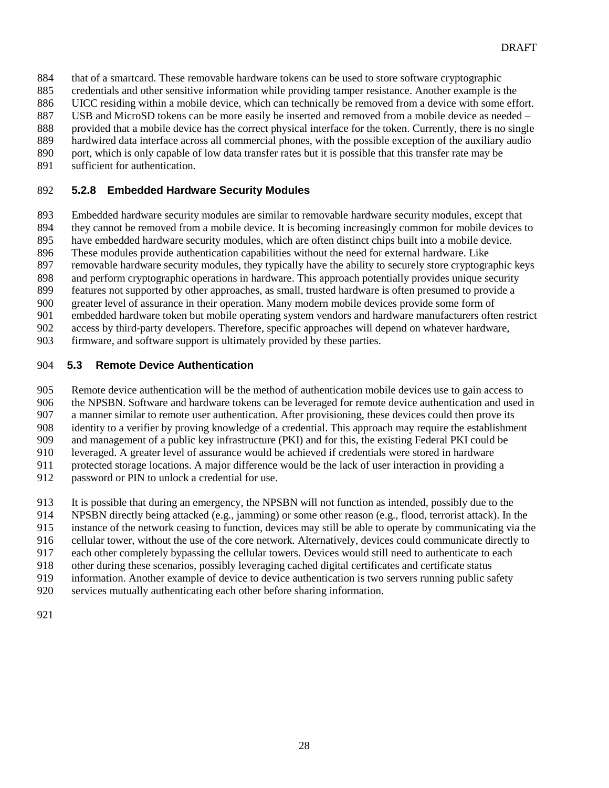- that of a smartcard. These removable hardware tokens can be used to store software cryptographic
- credentials and other sensitive information while providing tamper resistance. Another example is the
- UICC residing within a mobile device, which can technically be removed from a device with some effort.
- USB and MicroSD tokens can be more easily be inserted and removed from a mobile device as needed –
- provided that a mobile device has the correct physical interface for the token. Currently, there is no single hardwired data interface across all commercial phones, with the possible exception of the auxiliary audio
- 890 port, which is only capable of low data transfer rates but it is possible that this transfer rate may be
- sufficient for authentication.

## **5.2.8 Embedded Hardware Security Modules**

- Embedded hardware security modules are similar to removable hardware security modules, except that
- they cannot be removed from a mobile device. It is becoming increasingly common for mobile devices to
- have embedded hardware security modules, which are often distinct chips built into a mobile device.
- These modules provide authentication capabilities without the need for external hardware. Like
- removable hardware security modules, they typically have the ability to securely store cryptographic keys
- and perform cryptographic operations in hardware. This approach potentially provides unique security
- features not supported by other approaches, as small, trusted hardware is often presumed to provide a
- greater level of assurance in their operation. Many modern mobile devices provide some form of
- embedded hardware token but mobile operating system vendors and hardware manufacturers often restrict
- access by third-party developers. Therefore, specific approaches will depend on whatever hardware,
- firmware, and software support is ultimately provided by these parties.

# **5.3 Remote Device Authentication**

 Remote device authentication will be the method of authentication mobile devices use to gain access to the NPSBN. Software and hardware tokens can be leveraged for remote device authentication and used in

- a manner similar to remote user authentication. After provisioning, these devices could then prove its
- identity to a verifier by proving knowledge of a credential. This approach may require the establishment
- and management of a public key infrastructure (PKI) and for this, the existing Federal PKI could be leveraged. A greater level of assurance would be achieved if credentials were stored in hardware
- protected storage locations. A major difference would be the lack of user interaction in providing a
- password or PIN to unlock a credential for use.
- It is possible that during an emergency, the NPSBN will not function as intended, possibly due to the
- NPSBN directly being attacked (e.g., jamming) or some other reason (e.g., flood, terrorist attack). In the
- instance of the network ceasing to function, devices may still be able to operate by communicating via the
- cellular tower, without the use of the core network. Alternatively, devices could communicate directly to
- each other completely bypassing the cellular towers. Devices would still need to authenticate to each
- other during these scenarios, possibly leveraging cached digital certificates and certificate status
- information. Another example of device to device authentication is two servers running public safety
- services mutually authenticating each other before sharing information.
-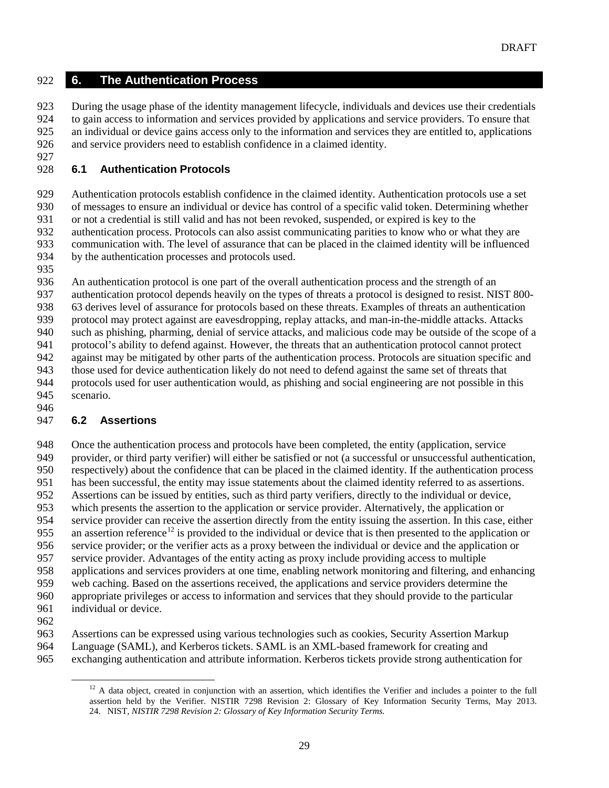#### **6. The Authentication Process**

 During the usage phase of the identity management lifecycle, individuals and devices use their credentials to gain access to information and services provided by applications and service providers. To ensure that an individual or device gains access only to the information and services they are entitled to, applications and service providers need to establish confidence in a claimed identity.

## **6.1 Authentication Protocols**

 Authentication protocols establish confidence in the claimed identity. Authentication protocols use a set of messages to ensure an individual or device has control of a specific valid token. Determining whether or not a credential is still valid and has not been revoked, suspended, or expired is key to the authentication process. Protocols can also assist communicating parities to know who or what they are communication with. The level of assurance that can be placed in the claimed identity will be influenced by the authentication processes and protocols used. An authentication protocol is one part of the overall authentication process and the strength of an authentication protocol depends heavily on the types of threats a protocol is designed to resist. NIST 800-

 63 derives level of assurance for protocols based on these threats. Examples of threats an authentication protocol may protect against are eavesdropping, replay attacks, and man-in-the-middle attacks. Attacks

such as phishing, pharming, denial of service attacks, and malicious code may be outside of the scope of a

 protocol's ability to defend against. However, the threats that an authentication protocol cannot protect against may be mitigated by other parts of the authentication process. Protocols are situation specific and

those used for device authentication likely do not need to defend against the same set of threats that

 protocols used for user authentication would, as phishing and social engineering are not possible in this scenario.

# **6.2 Assertions**

 Once the authentication process and protocols have been completed, the entity (application, service provider, or third party verifier) will either be satisfied or not (a successful or unsuccessful authentication, respectively) about the confidence that can be placed in the claimed identity. If the authentication process has been successful, the entity may issue statements about the claimed identity referred to as assertions. Assertions can be issued by entities, such as third party verifiers, directly to the individual or device, which presents the assertion to the application or service provider. Alternatively, the application or service provider can receive the assertion directly from the entity issuing the assertion. In this case, either 955 an assertion reference<sup>[12](#page-30-0)</sup> is provided to the individual or device that is then presented to the application or service provider; or the verifier acts as a proxy between the individual or device and the application or service provider. Advantages of the entity acting as proxy include providing access to multiple applications and services providers at one time, enabling network monitoring and filtering, and enhancing web caching. Based on the assertions received, the applications and service providers determine the appropriate privileges or access to information and services that they should provide to the particular individual or device.

<span id="page-30-0"></span> Assertions can be expressed using various technologies such as cookies, Security Assertion Markup Language (SAML), and Kerberos tickets. SAML is an XML-based framework for creating and exchanging authentication and attribute information. Kerberos tickets provide strong authentication for

<sup>&</sup>lt;sup>12</sup> A data object, created in conjunction with an assertion, which identifies the Verifier and includes a pointer to the full assertion held by the Verifier. NISTIR 7298 Revision 2: Glossary of Key Information Security Terms, May 2013. 24. NIST, *NISTIR 7298 Revision 2: Glossary of Key Information Security Terms.*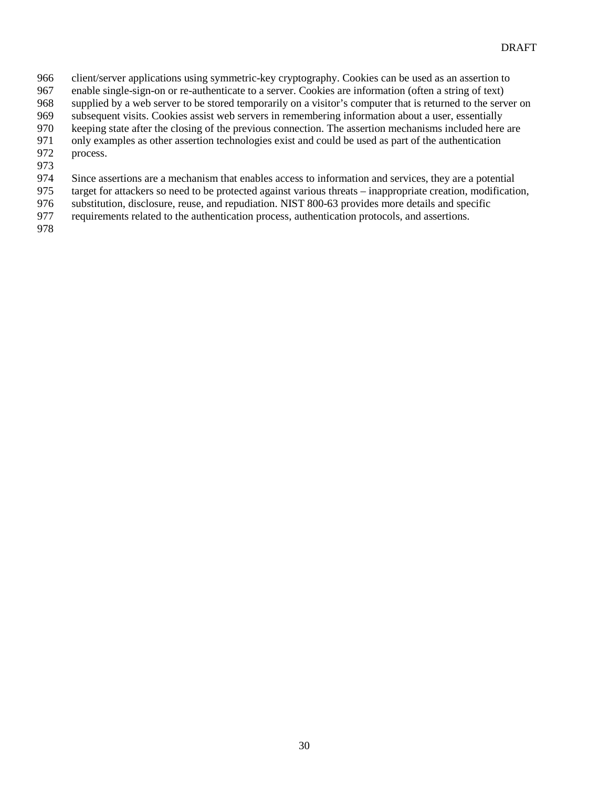- client/server applications using symmetric-key cryptography. Cookies can be used as an assertion to
- enable single-sign-on or re-authenticate to a server. Cookies are information (often a string of text)
- supplied by a web server to be stored temporarily on a visitor's computer that is returned to the server on
- subsequent visits. Cookies assist web servers in remembering information about a user, essentially
- keeping state after the closing of the previous connection. The assertion mechanisms included here are only examples as other assertion technologies exist and could be used as part of the authentication
- process.
- 
- Since assertions are a mechanism that enables access to information and services, they are a potential
- target for attackers so need to be protected against various threats inappropriate creation, modification,
- substitution, disclosure, reuse, and repudiation. NIST 800-63 provides more details and specific
- requirements related to the authentication process, authentication protocols, and assertions.
-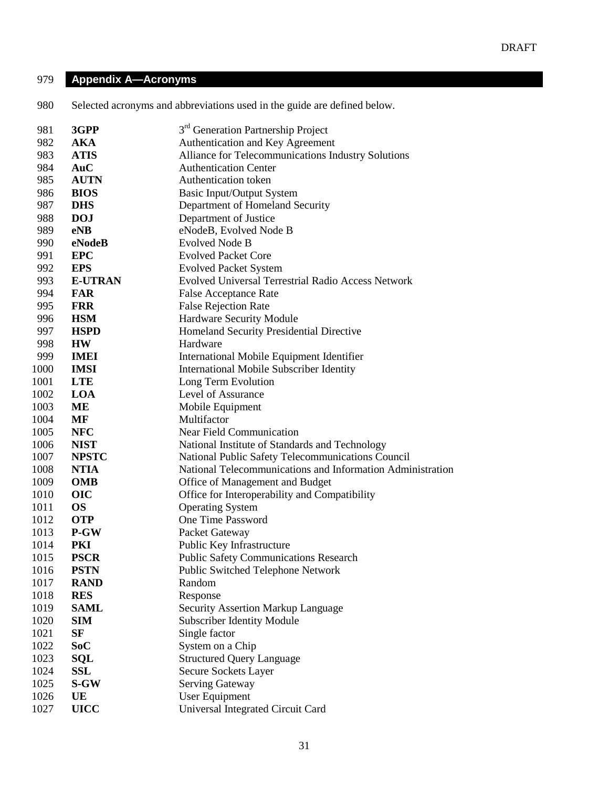# **Appendix A—Acronyms**

Selected acronyms and abbreviations used in the guide are defined below.

| 981  | 3GPP           | 3 <sup>rd</sup> Generation Partnership Project             |
|------|----------------|------------------------------------------------------------|
| 982  | <b>AKA</b>     | Authentication and Key Agreement                           |
| 983  | <b>ATIS</b>    | Alliance for Telecommunications Industry Solutions         |
| 984  | AuC            | <b>Authentication Center</b>                               |
| 985  | <b>AUTN</b>    | <b>Authentication token</b>                                |
| 986  | <b>BIOS</b>    | <b>Basic Input/Output System</b>                           |
| 987  | <b>DHS</b>     | Department of Homeland Security                            |
| 988  | <b>DOJ</b>     | Department of Justice                                      |
| 989  | eNB            | eNodeB, Evolved Node B                                     |
| 990  | eNodeB         | <b>Evolved Node B</b>                                      |
| 991  | <b>EPC</b>     | <b>Evolved Packet Core</b>                                 |
| 992  | <b>EPS</b>     | <b>Evolved Packet System</b>                               |
| 993  | <b>E-UTRAN</b> | Evolved Universal Terrestrial Radio Access Network         |
| 994  | <b>FAR</b>     | <b>False Acceptance Rate</b>                               |
| 995  | <b>FRR</b>     | <b>False Rejection Rate</b>                                |
| 996  | <b>HSM</b>     | Hardware Security Module                                   |
| 997  | <b>HSPD</b>    | Homeland Security Presidential Directive                   |
| 998  | <b>HW</b>      | Hardware                                                   |
| 999  | <b>IMEI</b>    | International Mobile Equipment Identifier                  |
| 1000 | <b>IMSI</b>    | <b>International Mobile Subscriber Identity</b>            |
| 1001 | <b>LTE</b>     | Long Term Evolution                                        |
| 1002 | LOA            | Level of Assurance                                         |
| 1003 | ME             | Mobile Equipment                                           |
| 1004 | MF             | Multifactor                                                |
| 1005 | <b>NFC</b>     | Near Field Communication                                   |
| 1006 | <b>NIST</b>    | National Institute of Standards and Technology             |
| 1007 | <b>NPSTC</b>   | National Public Safety Telecommunications Council          |
| 1008 | <b>NTIA</b>    | National Telecommunications and Information Administration |
| 1009 | <b>OMB</b>     | Office of Management and Budget                            |
| 1010 | <b>OIC</b>     | Office for Interoperability and Compatibility              |
| 1011 | <b>OS</b>      | <b>Operating System</b>                                    |
| 1012 | <b>OTP</b>     | One Time Password                                          |
| 1013 | $P-GW$         | Packet Gateway                                             |
| 1014 | PKI            | Public Key Infrastructure                                  |
| 1015 | <b>PSCR</b>    | <b>Public Safety Communications Research</b>               |
| 1016 | <b>PSTN</b>    | <b>Public Switched Telephone Network</b>                   |
| 1017 | <b>RAND</b>    | Random                                                     |
| 1018 | <b>RES</b>     | Response                                                   |
| 1019 | <b>SAML</b>    | <b>Security Assertion Markup Language</b>                  |
| 1020 | <b>SIM</b>     | <b>Subscriber Identity Module</b>                          |
| 1021 | <b>SF</b>      | Single factor                                              |
| 1022 | SoC            | System on a Chip                                           |
| 1023 | <b>SQL</b>     | <b>Structured Query Language</b>                           |
| 1024 | <b>SSL</b>     | Secure Sockets Layer                                       |
| 1025 | S-GW           | <b>Serving Gateway</b>                                     |
| 1026 | UE             | <b>User Equipment</b>                                      |
| 1027 | <b>UICC</b>    | Universal Integrated Circuit Card                          |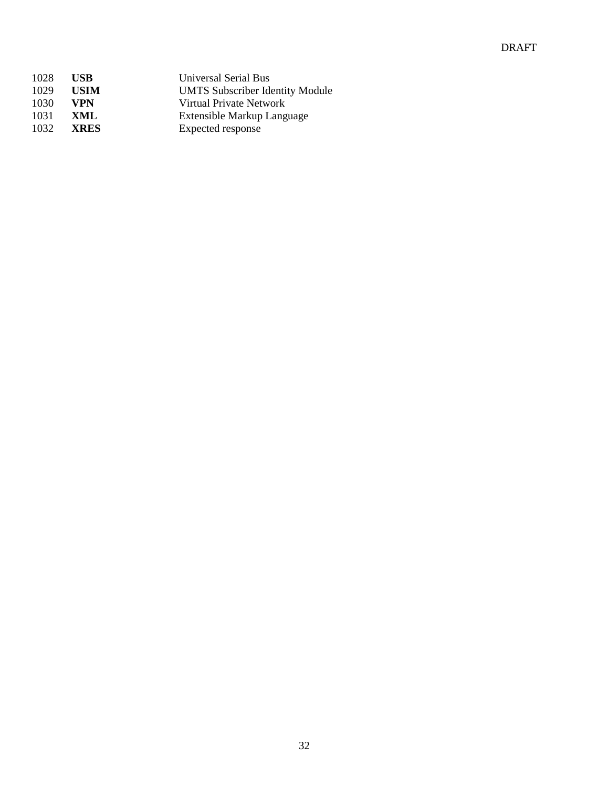# DRAFT

| 1028 | <b>USB</b>  | Universal Serial Bus                   |
|------|-------------|----------------------------------------|
| 1029 | <b>USIM</b> | <b>UMTS Subscriber Identity Module</b> |
| 1030 | VPN         | Virtual Private Network                |
| 1031 | XML         | Extensible Markup Language             |
| 1032 | <b>XRES</b> | Expected response                      |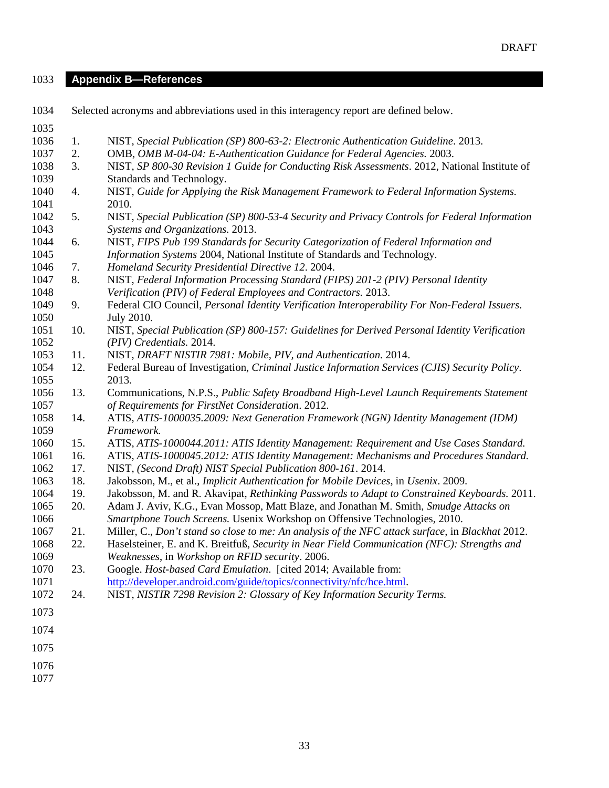**Appendix B—References**

| 1034 |     | Selected acronyms and abbreviations used in this interagency report are defined below.           |
|------|-----|--------------------------------------------------------------------------------------------------|
| 1035 |     |                                                                                                  |
| 1036 | 1.  | NIST, Special Publication (SP) 800-63-2: Electronic Authentication Guideline. 2013.              |
| 1037 | 2.  | OMB, OMB M-04-04: E-Authentication Guidance for Federal Agencies. 2003.                          |
| 1038 | 3.  | NIST, SP 800-30 Revision 1 Guide for Conducting Risk Assessments. 2012, National Institute of    |
| 1039 |     | Standards and Technology.                                                                        |
| 1040 | 4.  | NIST, Guide for Applying the Risk Management Framework to Federal Information Systems.           |
| 1041 |     | 2010.                                                                                            |
| 1042 | 5.  | NIST, Special Publication (SP) 800-53-4 Security and Privacy Controls for Federal Information    |
| 1043 |     | Systems and Organizations. 2013.                                                                 |
| 1044 | 6.  | NIST, FIPS Pub 199 Standards for Security Categorization of Federal Information and              |
| 1045 |     | Information Systems 2004, National Institute of Standards and Technology.                        |
| 1046 | 7.  | Homeland Security Presidential Directive 12. 2004.                                               |
| 1047 | 8.  | NIST, Federal Information Processing Standard (FIPS) 201-2 (PIV) Personal Identity               |
| 1048 |     | Verification (PIV) of Federal Employees and Contractors. 2013.                                   |
| 1049 | 9.  | Federal CIO Council, Personal Identity Verification Interoperability For Non-Federal Issuers.    |
| 1050 |     | <b>July 2010.</b>                                                                                |
| 1051 | 10. | NIST, Special Publication (SP) 800-157: Guidelines for Derived Personal Identity Verification    |
| 1052 |     | (PIV) Credentials. 2014.                                                                         |
| 1053 | 11. | NIST, DRAFT NISTIR 7981: Mobile, PIV, and Authentication. 2014.                                  |
| 1054 | 12. | Federal Bureau of Investigation, Criminal Justice Information Services (CJIS) Security Policy.   |
| 1055 |     | 2013.                                                                                            |
| 1056 | 13. | Communications, N.P.S., Public Safety Broadband High-Level Launch Requirements Statement         |
| 1057 |     | of Requirements for FirstNet Consideration. 2012.                                                |
| 1058 | 14. | ATIS, ATIS-1000035.2009: Next Generation Framework (NGN) Identity Management (IDM)               |
| 1059 |     | Framework.                                                                                       |
| 1060 | 15. | ATIS, ATIS-1000044.2011: ATIS Identity Management: Requirement and Use Cases Standard.           |
| 1061 | 16. | ATIS, ATIS-1000045.2012: ATIS Identity Management: Mechanisms and Procedures Standard.           |
| 1062 | 17. | NIST, (Second Draft) NIST Special Publication 800-161. 2014.                                     |
| 1063 | 18. | Jakobsson, M., et al., Implicit Authentication for Mobile Devices, in Usenix. 2009.              |
| 1064 | 19. | Jakobsson, M. and R. Akavipat, Rethinking Passwords to Adapt to Constrained Keyboards. 2011.     |
| 1065 | 20. | Adam J. Aviv, K.G., Evan Mossop, Matt Blaze, and Jonathan M. Smith, Smudge Attacks on            |
| 1066 |     | Smartphone Touch Screens. Usenix Workshop on Offensive Technologies, 2010.                       |
| 1067 | 21. | Miller, C., Don't stand so close to me: An analysis of the NFC attack surface, in Blackhat 2012. |
| 1068 | 22. | Haselsteiner, E. and K. Breitfuß, Security in Near Field Communication (NFC): Strengths and      |
| 1069 |     | Weaknesses, in Workshop on RFID security. 2006.                                                  |
| 1070 | 23. | Google. Host-based Card Emulation. [cited 2014; Available from:                                  |
| 1071 |     | http://developer.android.com/guide/topics/connectivity/nfc/hce.html.                             |
| 1072 | 24. | NIST, NISTIR 7298 Revision 2: Glossary of Key Information Security Terms.                        |
| 1073 |     |                                                                                                  |
| 1074 |     |                                                                                                  |
| 1075 |     |                                                                                                  |
| 1076 |     |                                                                                                  |
| 1077 |     |                                                                                                  |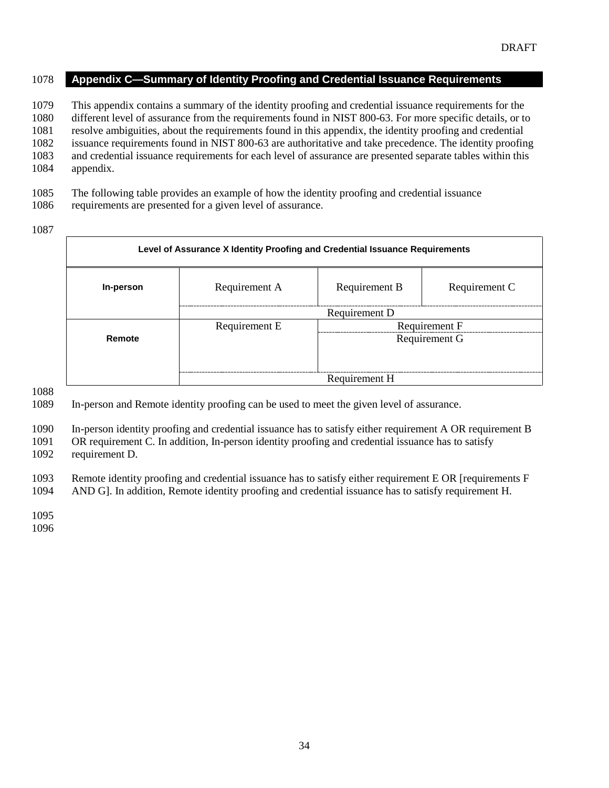#### **Appendix C—Summary of Identity Proofing and Credential Issuance Requirements**

 This appendix contains a summary of the identity proofing and credential issuance requirements for the different level of assurance from the requirements found in NIST 800-63. For more specific details, or to resolve ambiguities, about the requirements found in this appendix, the identity proofing and credential

issuance requirements found in NIST 800-63 are authoritative and take precedence. The identity proofing

and credential issuance requirements for each level of assurance are presented separate tables within this

- appendix.
- The following table provides an example of how the identity proofing and credential issuance
- requirements are presented for a given level of assurance.
- 

| Level of Assurance X Identity Proofing and Credential Issuance Requirements |               |               |               |
|-----------------------------------------------------------------------------|---------------|---------------|---------------|
| In-person                                                                   | Requirement A | Requirement B | Requirement C |
|                                                                             |               | Requirement D |               |
|                                                                             | Requirement E |               | Requirement F |
| Remote                                                                      |               | Requirement G |               |
|                                                                             |               |               |               |
|                                                                             |               |               |               |
|                                                                             |               | Requirement H |               |

In-person and Remote identity proofing can be used to meet the given level of assurance.

In-person identity proofing and credential issuance has to satisfy either requirement A OR requirement B

 OR requirement C. In addition, In-person identity proofing and credential issuance has to satisfy requirement D.

Remote identity proofing and credential issuance has to satisfy either requirement E OR [requirements F

AND G]. In addition, Remote identity proofing and credential issuance has to satisfy requirement H.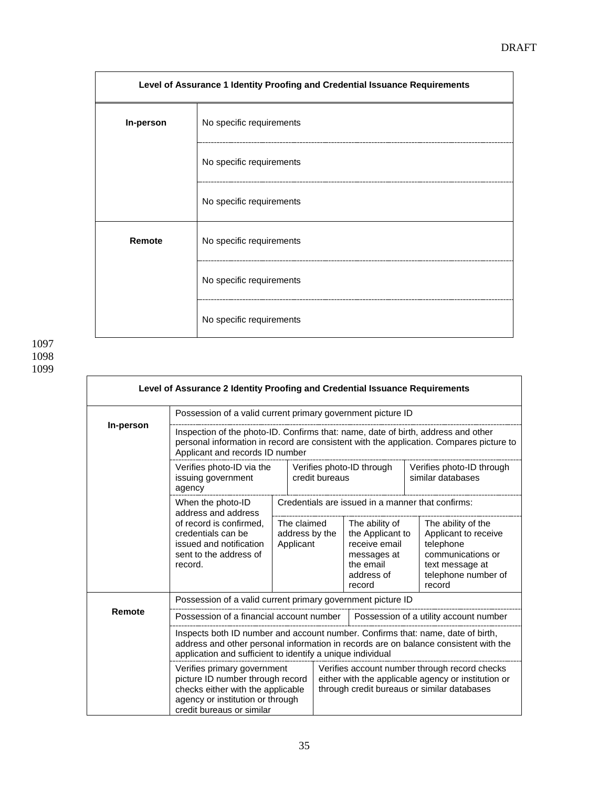| Level of Assurance 1 Identity Proofing and Credential Issuance Requirements |                          |  |
|-----------------------------------------------------------------------------|--------------------------|--|
| In-person                                                                   | No specific requirements |  |
|                                                                             | No specific requirements |  |
|                                                                             | No specific requirements |  |
| Remote                                                                      | No specific requirements |  |
|                                                                             | No specific requirements |  |
|                                                                             | No specific requirements |  |

|           | Level of Assurance 2 Identity Proofing and Credential Issuance Requirements                                                                                                                                                           |                                            |                |                                                   |                                                                                                         |  |                                                                                                                                                     |
|-----------|---------------------------------------------------------------------------------------------------------------------------------------------------------------------------------------------------------------------------------------|--------------------------------------------|----------------|---------------------------------------------------|---------------------------------------------------------------------------------------------------------|--|-----------------------------------------------------------------------------------------------------------------------------------------------------|
|           | Possession of a valid current primary government picture ID                                                                                                                                                                           |                                            |                |                                                   |                                                                                                         |  |                                                                                                                                                     |
| In-person | Inspection of the photo-ID. Confirms that: name, date of birth, address and other<br>personal information in record are consistent with the application. Compares picture to<br>Applicant and records ID number                       |                                            |                |                                                   |                                                                                                         |  |                                                                                                                                                     |
|           | Verifies photo-ID via the<br>issuing government<br>agency                                                                                                                                                                             |                                            | credit bureaus |                                                   | Verifies photo-ID through                                                                               |  | Verifies photo-ID through<br>similar databases                                                                                                      |
|           | When the photo-ID<br>address and address                                                                                                                                                                                              |                                            |                | Credentials are issued in a manner that confirms: |                                                                                                         |  |                                                                                                                                                     |
|           | of record is confirmed.<br>credentials can be<br>issued and notification<br>sent to the address of<br>record.                                                                                                                         | The claimed<br>address by the<br>Applicant |                |                                                   | The ability of<br>the Applicant to<br>receive email<br>messages at<br>the email<br>address of<br>record |  | The ability of the<br>Applicant to receive<br>telephone<br>communications or<br>text message at<br>telephone number of<br>record                    |
|           | Possession of a valid current primary government picture ID                                                                                                                                                                           |                                            |                |                                                   |                                                                                                         |  |                                                                                                                                                     |
| Remote    | Possession of a financial account number                                                                                                                                                                                              |                                            |                |                                                   |                                                                                                         |  | Possession of a utility account number                                                                                                              |
|           | Inspects both ID number and account number. Confirms that: name, date of birth,<br>address and other personal information in records are on balance consistent with the<br>application and sufficient to identify a unique individual |                                            |                |                                                   |                                                                                                         |  |                                                                                                                                                     |
|           | Verifies primary government<br>picture ID number through record<br>checks either with the applicable<br>agency or institution or through<br>credit bureaus or similar                                                                 |                                            |                |                                                   |                                                                                                         |  | Verifies account number through record checks<br>either with the applicable agency or institution or<br>through credit bureaus or similar databases |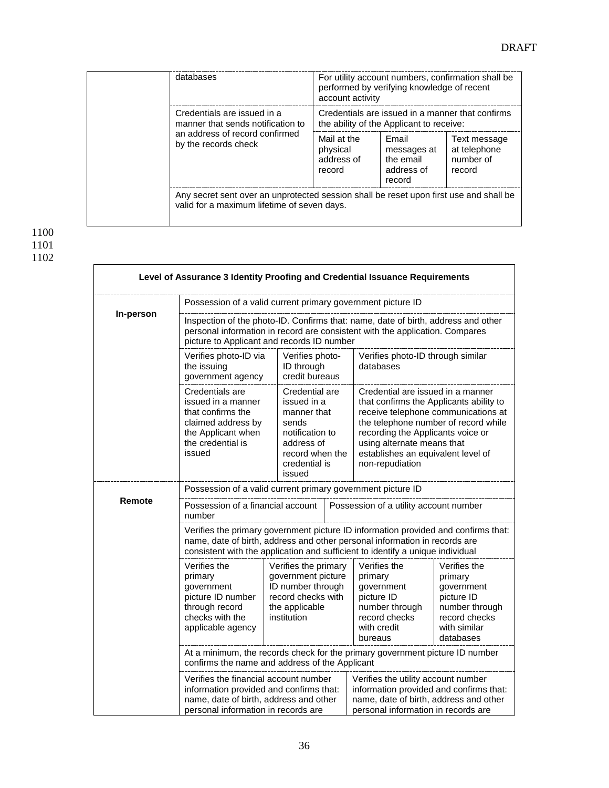| databases                                                                                                                  |                                                                                              | For utility account numbers, confirmation shall be<br>performed by verifying knowledge of recent<br>account activity |                                                     |  |  |
|----------------------------------------------------------------------------------------------------------------------------|----------------------------------------------------------------------------------------------|----------------------------------------------------------------------------------------------------------------------|-----------------------------------------------------|--|--|
| Credentials are issued in a<br>manner that sends notification to<br>an address of record confirmed<br>by the records check | Credentials are issued in a manner that confirms<br>the ability of the Applicant to receive: |                                                                                                                      |                                                     |  |  |
|                                                                                                                            | Mail at the<br>physical<br>address of<br>record                                              | Email<br>messages at<br>the email<br>address of<br>record                                                            | Text message<br>at telephone<br>number of<br>record |  |  |
| valid for a maximum lifetime of seven days.                                                                                | Any secret sent over an unprotected session shall be reset upon first use and shall be       |                                                                                                                      |                                                     |  |  |

|           | Level of Assurance 3 Identity Proofing and Credential Issuance Requirements                                                                                                                                                                                                                                                                                                                                                                                            |  |                                                                                                                                      |  |                                                                                                                                                                                                          |                                                                                                                     |
|-----------|------------------------------------------------------------------------------------------------------------------------------------------------------------------------------------------------------------------------------------------------------------------------------------------------------------------------------------------------------------------------------------------------------------------------------------------------------------------------|--|--------------------------------------------------------------------------------------------------------------------------------------|--|----------------------------------------------------------------------------------------------------------------------------------------------------------------------------------------------------------|---------------------------------------------------------------------------------------------------------------------|
|           | Possession of a valid current primary government picture ID                                                                                                                                                                                                                                                                                                                                                                                                            |  |                                                                                                                                      |  |                                                                                                                                                                                                          |                                                                                                                     |
| In-person | Inspection of the photo-ID. Confirms that: name, date of birth, address and other<br>personal information in record are consistent with the application. Compares<br>picture to Applicant and records ID number                                                                                                                                                                                                                                                        |  |                                                                                                                                      |  |                                                                                                                                                                                                          |                                                                                                                     |
|           | Verifies photo-ID via<br>the issuing<br>government agency                                                                                                                                                                                                                                                                                                                                                                                                              |  | Verifies photo-<br>ID through<br>credit bureaus                                                                                      |  | Verifies photo-ID through similar<br>databases                                                                                                                                                           |                                                                                                                     |
|           | Credentials are<br>issued in a manner<br>that confirms the<br>claimed address by<br>the Applicant when<br>the credential is<br>issued                                                                                                                                                                                                                                                                                                                                  |  | Credential are<br>issued in a<br>manner that<br>sends<br>notification to<br>address of<br>record when the<br>credential is<br>issued |  | Credential are issued in a manner<br>that confirms the Applicants ability to<br>recording the Applicants voice or<br>using alternate means that<br>establishes an equivalent level of<br>non-repudiation | receive telephone communications at<br>the telephone number of record while                                         |
|           | Possession of a valid current primary government picture ID                                                                                                                                                                                                                                                                                                                                                                                                            |  |                                                                                                                                      |  |                                                                                                                                                                                                          |                                                                                                                     |
| Remote    | Possession of a financial account<br>Possession of a utility account number<br>number                                                                                                                                                                                                                                                                                                                                                                                  |  |                                                                                                                                      |  |                                                                                                                                                                                                          |                                                                                                                     |
|           | Verifies the primary government picture ID information provided and confirms that:<br>name, date of birth, address and other personal information in records are<br>consistent with the application and sufficient to identify a unique individual                                                                                                                                                                                                                     |  |                                                                                                                                      |  |                                                                                                                                                                                                          |                                                                                                                     |
|           | Verifies the<br>primary<br>government<br>picture ID number<br>through record<br>checks with the<br>applicable agency                                                                                                                                                                                                                                                                                                                                                   |  | Verifies the primary<br>government picture<br>ID number through<br>record checks with<br>the applicable<br>institution               |  | Verifies the<br>primary<br>government<br>picture ID<br>number through<br>record checks<br>with credit<br>bureaus                                                                                         | Verifies the<br>primary<br>government<br>picture ID<br>number through<br>record checks<br>with similar<br>databases |
|           | At a minimum, the records check for the primary government picture ID number<br>confirms the name and address of the Applicant<br>Verifies the financial account number<br>Verifies the utility account number<br>information provided and confirms that:<br>information provided and confirms that:<br>name, date of birth, address and other<br>name, date of birth, address and other<br>personal information in records are<br>personal information in records are |  |                                                                                                                                      |  |                                                                                                                                                                                                          |                                                                                                                     |
|           |                                                                                                                                                                                                                                                                                                                                                                                                                                                                        |  |                                                                                                                                      |  |                                                                                                                                                                                                          |                                                                                                                     |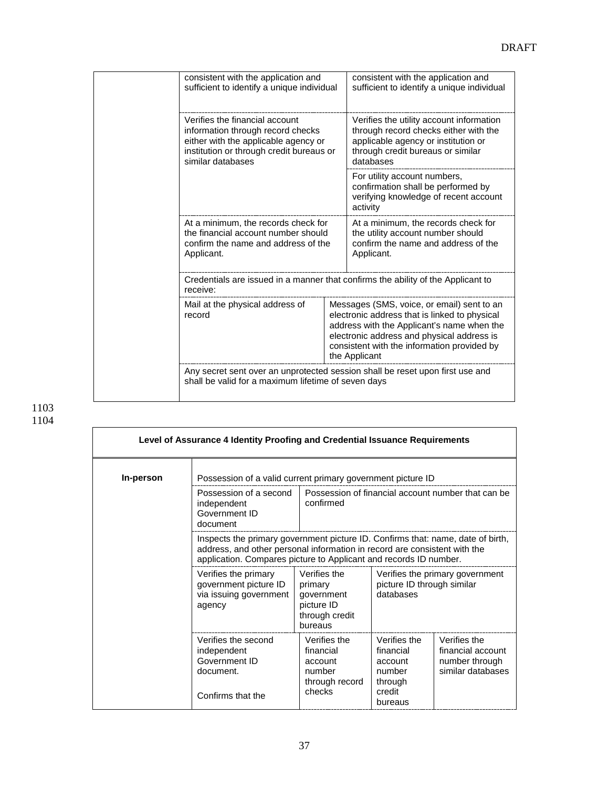| consistent with the application and<br>sufficient to identify a unique individual                                                                                            |  | consistent with the application and<br>sufficient to identify a unique individual                                                                                                                                                                       |
|------------------------------------------------------------------------------------------------------------------------------------------------------------------------------|--|---------------------------------------------------------------------------------------------------------------------------------------------------------------------------------------------------------------------------------------------------------|
| Verifies the financial account<br>information through record checks<br>either with the applicable agency or<br>institution or through credit bureaus or<br>similar databases |  | Verifies the utility account information<br>through record checks either with the<br>applicable agency or institution or<br>through credit bureaus or similar<br>databases                                                                              |
|                                                                                                                                                                              |  | For utility account numbers,<br>confirmation shall be performed by<br>verifying knowledge of recent account<br>activity                                                                                                                                 |
| At a minimum, the records check for<br>the financial account number should<br>confirm the name and address of the<br>Applicant.                                              |  | At a minimum, the records check for<br>the utility account number should<br>confirm the name and address of the<br>Applicant.                                                                                                                           |
| receive:                                                                                                                                                                     |  | Credentials are issued in a manner that confirms the ability of the Applicant to                                                                                                                                                                        |
| Mail at the physical address of<br>record                                                                                                                                    |  | Messages (SMS, voice, or email) sent to an<br>electronic address that is linked to physical<br>address with the Applicant's name when the<br>electronic address and physical address is<br>consistent with the information provided by<br>the Applicant |
| shall be valid for a maximum lifetime of seven days                                                                                                                          |  | Any secret sent over an unprotected session shall be reset upon first use and                                                                                                                                                                           |

|           | Level of Assurance 4 Identity Proofing and Credential Issuance Requirements                                                                                                                                                       |                                                                                  |                                                                     |                                                                          |
|-----------|-----------------------------------------------------------------------------------------------------------------------------------------------------------------------------------------------------------------------------------|----------------------------------------------------------------------------------|---------------------------------------------------------------------|--------------------------------------------------------------------------|
| In-person | Possession of a valid current primary government picture ID                                                                                                                                                                       |                                                                                  |                                                                     |                                                                          |
|           | Possession of a second<br>independent<br>Government ID<br>document                                                                                                                                                                | confirmed                                                                        |                                                                     | Possession of financial account number that can be                       |
|           | Inspects the primary government picture ID. Confirms that: name, date of birth,<br>address, and other personal information in record are consistent with the<br>application. Compares picture to Applicant and records ID number. |                                                                                  |                                                                     |                                                                          |
|           | Verifies the primary<br>government picture ID<br>via issuing government<br>agency                                                                                                                                                 | Verifies the<br>primary<br>government<br>picture ID<br>through credit<br>bureaus | picture ID through similar<br>databases                             | Verifies the primary government                                          |
|           | Verifies the second<br>independent<br>Government ID<br>document.                                                                                                                                                                  | Verifies the<br>financial<br>account<br>number<br>through record<br>checks       | Verifies the<br>financial<br>account<br>number<br>through<br>credit | Verifies the<br>financial account<br>number through<br>similar databases |
|           | Confirms that the                                                                                                                                                                                                                 |                                                                                  | bureaus                                                             |                                                                          |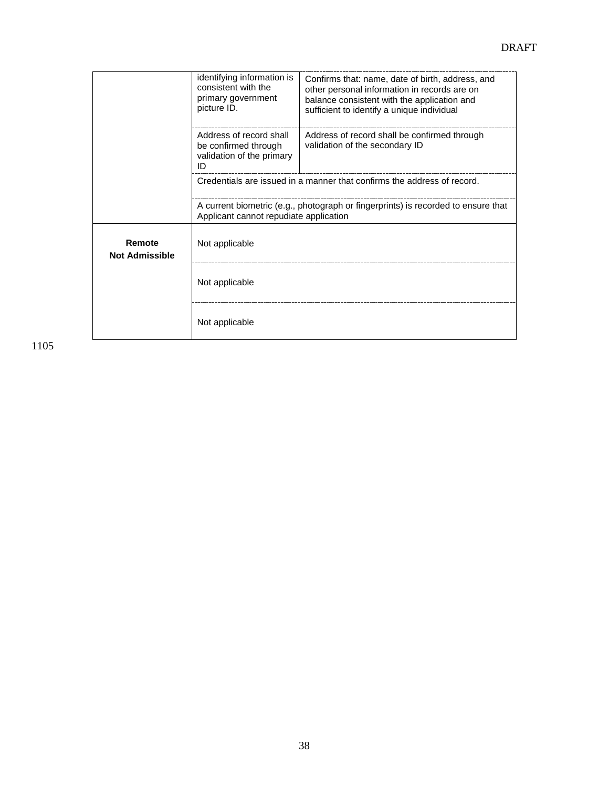|                                 | identifying information is<br>consistent with the<br>primary government<br>picture ID. | Confirms that: name, date of birth, address, and<br>other personal information in records are on<br>balance consistent with the application and<br>sufficient to identify a unique individual |  |  |  |
|---------------------------------|----------------------------------------------------------------------------------------|-----------------------------------------------------------------------------------------------------------------------------------------------------------------------------------------------|--|--|--|
|                                 | Address of record shall<br>be confirmed through<br>validation of the primary<br>ID     | Address of record shall be confirmed through<br>validation of the secondary ID                                                                                                                |  |  |  |
|                                 | Credentials are issued in a manner that confirms the address of record.                |                                                                                                                                                                                               |  |  |  |
|                                 | Applicant cannot repudiate application                                                 | A current biometric (e.g., photograph or fingerprints) is recorded to ensure that                                                                                                             |  |  |  |
| Remote<br><b>Not Admissible</b> | Not applicable                                                                         |                                                                                                                                                                                               |  |  |  |
|                                 | Not applicable                                                                         |                                                                                                                                                                                               |  |  |  |
|                                 | Not applicable                                                                         |                                                                                                                                                                                               |  |  |  |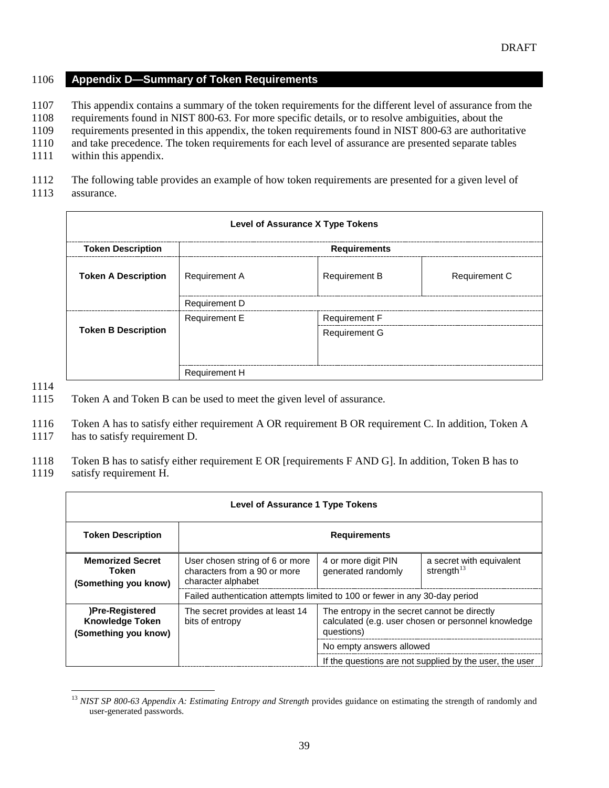#### 1106 **Appendix D—Summary of Token Requirements**

1107 This appendix contains a summary of the token requirements for the different level of assurance from the

1108 requirements found in NIST 800-63. For more specific details, or to resolve ambiguities, about the

1109 requirements presented in this appendix, the token requirements found in NIST 800-63 are authoritative

1110 and take precedence. The token requirements for each level of assurance are presented separate tables

1111 within this appendix.

1112 The following table provides an example of how token requirements are presented for a given level of 1113 assurance.

| <b>Level of Assurance X Type Tokens</b> |                      |                      |                      |  |
|-----------------------------------------|----------------------|----------------------|----------------------|--|
| <b>Token Description</b>                |                      | <b>Requirements</b>  |                      |  |
| <b>Token A Description</b>              | <b>Requirement A</b> | <b>Requirement B</b> | <b>Requirement C</b> |  |
|                                         | <b>Requirement D</b> |                      |                      |  |
|                                         | <b>Requirement E</b> | <b>Requirement F</b> |                      |  |
| <b>Token B Description</b>              |                      | <b>Requirement G</b> |                      |  |
|                                         | <b>Requirement H</b> |                      |                      |  |

1114

1115 Token A and Token B can be used to meet the given level of assurance.

1116 Token A has to satisfy either requirement A OR requirement B OR requirement C. In addition, Token A

1117 has to satisfy requirement D.

1118 Token B has to satisfy either requirement E OR [requirements F AND G]. In addition, Token B has to

#### 1119 satisfy requirement H.

| <b>Level of Assurance 1 Type Tokens</b>                           |                                                                                       |                                                            |                                                         |
|-------------------------------------------------------------------|---------------------------------------------------------------------------------------|------------------------------------------------------------|---------------------------------------------------------|
| <b>Token Description</b>                                          |                                                                                       | <b>Requirements</b>                                        |                                                         |
| <b>Memorized Secret</b><br>Token<br>(Something you know)          | User chosen string of 6 or more<br>characters from a 90 or more<br>character alphabet | 4 or more digit PIN<br>generated randomly                  | a secret with equivalent<br>strength $13$               |
|                                                                   | Failed authentication attempts limited to 100 or fewer in any 30-day period           |                                                            |                                                         |
| )Pre-Registered<br><b>Knowledge Token</b><br>(Something you know) | The secret provides at least 14<br>bits of entropy                                    | The entropy in the secret cannot be directly<br>questions) | calculated (e.g. user chosen or personnel knowledge     |
|                                                                   |                                                                                       | No empty answers allowed                                   |                                                         |
|                                                                   |                                                                                       |                                                            | If the questions are not supplied by the user, the user |

<span id="page-40-0"></span><sup>&</sup>lt;sup>13</sup> *NIST SP 800-63 Appendix A: Estimating Entropy and Strength* provides guidance on estimating the strength of randomly and user-generated passwords.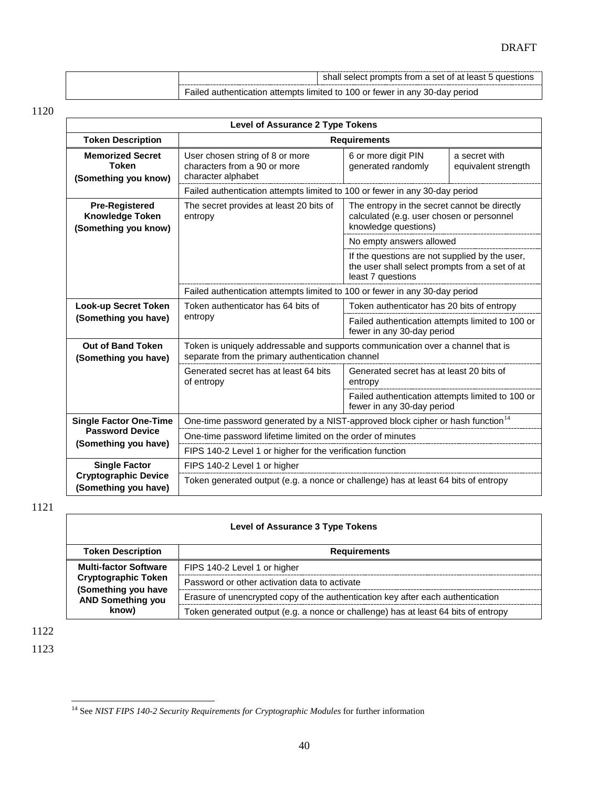|  | shall select prompts from a set of at least 5 questions                     |
|--|-----------------------------------------------------------------------------|
|  | Failed authentication attempts limited to 100 or fewer in any 30-day period |

| <b>Level of Assurance 2 Type Tokens</b>                                 |                                                                                                                                     |                                                                                                                       |                                      |  |  |
|-------------------------------------------------------------------------|-------------------------------------------------------------------------------------------------------------------------------------|-----------------------------------------------------------------------------------------------------------------------|--------------------------------------|--|--|
| <b>Token Description</b>                                                | <b>Requirements</b>                                                                                                                 |                                                                                                                       |                                      |  |  |
| <b>Memorized Secret</b><br><b>Token</b><br>(Something you know)         | User chosen string of 8 or more<br>characters from a 90 or more<br>character alphabet                                               | 6 or more digit PIN<br>generated randomly                                                                             | a secret with<br>equivalent strength |  |  |
|                                                                         | Failed authentication attempts limited to 100 or fewer in any 30-day period                                                         |                                                                                                                       |                                      |  |  |
| <b>Pre-Registered</b><br><b>Knowledge Token</b><br>(Something you know) | The secret provides at least 20 bits of<br>entropy                                                                                  | The entropy in the secret cannot be directly<br>calculated (e.g. user chosen or personnel<br>knowledge questions)     |                                      |  |  |
|                                                                         |                                                                                                                                     | No empty answers allowed                                                                                              |                                      |  |  |
|                                                                         |                                                                                                                                     | If the questions are not supplied by the user,<br>the user shall select prompts from a set of at<br>least 7 questions |                                      |  |  |
|                                                                         | Failed authentication attempts limited to 100 or fewer in any 30-day period                                                         |                                                                                                                       |                                      |  |  |
| Look-up Secret Token                                                    | Token authenticator has 64 bits of                                                                                                  | Token authenticator has 20 bits of entropy                                                                            |                                      |  |  |
| (Something you have)                                                    | entropy                                                                                                                             | Failed authentication attempts limited to 100 or<br>fewer in any 30-day period                                        |                                      |  |  |
| <b>Out of Band Token</b><br>(Something you have)                        | Token is uniquely addressable and supports communication over a channel that is<br>separate from the primary authentication channel |                                                                                                                       |                                      |  |  |
|                                                                         | Generated secret has at least 64 bits<br>of entropy                                                                                 | Generated secret has at least 20 bits of<br>entropy                                                                   |                                      |  |  |
|                                                                         |                                                                                                                                     | Failed authentication attempts limited to 100 or<br>fewer in any 30-day period                                        |                                      |  |  |
| <b>Single Factor One-Time</b>                                           | One-time password generated by a NIST-approved block cipher or hash function <sup>14</sup>                                          |                                                                                                                       |                                      |  |  |
| <b>Password Device</b>                                                  | One-time password lifetime limited on the order of minutes                                                                          |                                                                                                                       |                                      |  |  |
| (Something you have)                                                    | FIPS 140-2 Level 1 or higher for the verification function                                                                          |                                                                                                                       |                                      |  |  |
| <b>Single Factor</b>                                                    | FIPS 140-2 Level 1 or higher                                                                                                        |                                                                                                                       |                                      |  |  |
| <b>Cryptographic Device</b><br>(Something you have)                     | Token generated output (e.g. a nonce or challenge) has at least 64 bits of entropy                                                  |                                                                                                                       |                                      |  |  |

1121

#### **Level of Assurance 3 Type Tokens**

| <b>Token Description</b>                                                        | <b>Requirements</b>                                                                |
|---------------------------------------------------------------------------------|------------------------------------------------------------------------------------|
| <b>Multi-factor Software</b>                                                    | FIPS 140-2 Level 1 or higher                                                       |
| Cryptographic Token<br>(Something you have<br><b>AND Something you</b><br>know) | Password or other activation data to activate                                      |
|                                                                                 | Erasure of unencrypted copy of the authentication key after each authentication    |
|                                                                                 | Token generated output (e.g. a nonce or challenge) has at least 64 bits of entropy |

1122

<span id="page-41-0"></span> <sup>14</sup> See *NIST FIPS 140-2 Security Requirements for Cryptographic Modules* for further information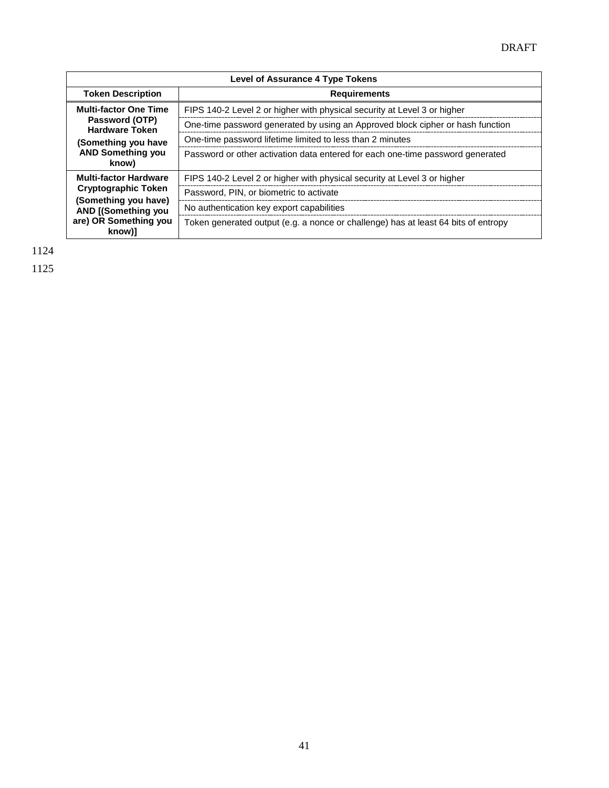| <b>Level of Assurance 4 Type Tokens</b>                                                                                                      |                                                                                    |  |  |  |
|----------------------------------------------------------------------------------------------------------------------------------------------|------------------------------------------------------------------------------------|--|--|--|
| <b>Token Description</b>                                                                                                                     | <b>Requirements</b>                                                                |  |  |  |
| <b>Multi-factor One Time</b>                                                                                                                 | FIPS 140-2 Level 2 or higher with physical security at Level 3 or higher           |  |  |  |
| Password (OTP)<br><b>Hardware Token</b>                                                                                                      | One-time password generated by using an Approved block cipher or hash function     |  |  |  |
| (Something you have<br><b>AND Something you</b><br>know)                                                                                     | One-time password lifetime limited to less than 2 minutes                          |  |  |  |
|                                                                                                                                              | Password or other activation data entered for each one-time password generated     |  |  |  |
| <b>Multi-factor Hardware</b><br>Cryptographic Token<br>(Something you have)<br><b>AND [(Something you</b><br>are) OR Something you<br>know)] | FIPS 140-2 Level 2 or higher with physical security at Level 3 or higher           |  |  |  |
|                                                                                                                                              | Password, PIN, or biometric to activate                                            |  |  |  |
|                                                                                                                                              | No authentication key export capabilities                                          |  |  |  |
|                                                                                                                                              | Token generated output (e.g. a nonce or challenge) has at least 64 bits of entropy |  |  |  |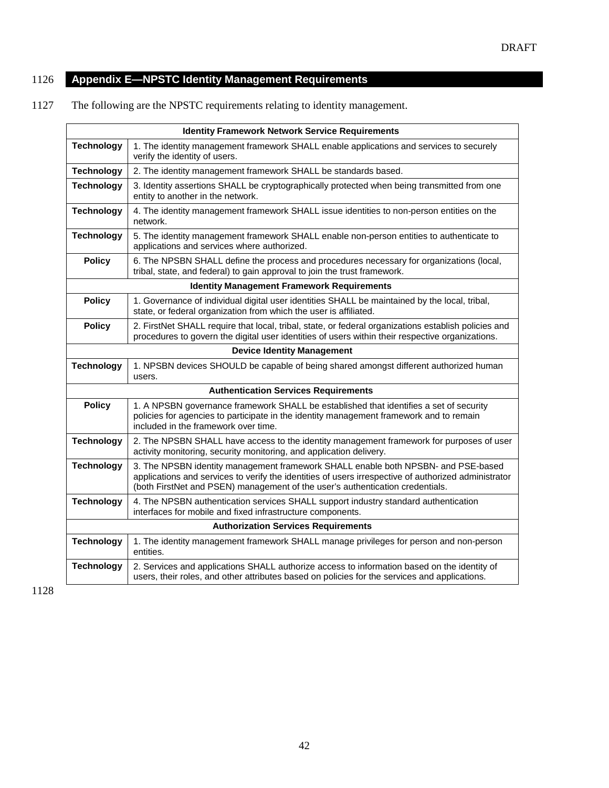# 1126 **Appendix E—NPSTC Identity Management Requirements**

1127 The following are the NPSTC requirements relating to identity management.

| <b>Identity Framework Network Service Requirements</b> |                                                                                                                                                                                                                                                                            |
|--------------------------------------------------------|----------------------------------------------------------------------------------------------------------------------------------------------------------------------------------------------------------------------------------------------------------------------------|
| <b>Technology</b>                                      | 1. The identity management framework SHALL enable applications and services to securely<br>verify the identity of users.                                                                                                                                                   |
| <b>Technology</b>                                      | 2. The identity management framework SHALL be standards based.                                                                                                                                                                                                             |
| <b>Technology</b>                                      | 3. Identity assertions SHALL be cryptographically protected when being transmitted from one<br>entity to another in the network.                                                                                                                                           |
| <b>Technology</b>                                      | 4. The identity management framework SHALL issue identities to non-person entities on the<br>network.                                                                                                                                                                      |
| <b>Technology</b>                                      | 5. The identity management framework SHALL enable non-person entities to authenticate to<br>applications and services where authorized.                                                                                                                                    |
| <b>Policy</b>                                          | 6. The NPSBN SHALL define the process and procedures necessary for organizations (local,<br>tribal, state, and federal) to gain approval to join the trust framework.                                                                                                      |
| <b>Identity Management Framework Requirements</b>      |                                                                                                                                                                                                                                                                            |
| <b>Policy</b>                                          | 1. Governance of individual digital user identities SHALL be maintained by the local, tribal,<br>state, or federal organization from which the user is affiliated.                                                                                                         |
| <b>Policy</b>                                          | 2. FirstNet SHALL require that local, tribal, state, or federal organizations establish policies and<br>procedures to govern the digital user identities of users within their respective organizations.                                                                   |
| <b>Device Identity Management</b>                      |                                                                                                                                                                                                                                                                            |
| <b>Technology</b>                                      | 1. NPSBN devices SHOULD be capable of being shared amongst different authorized human<br>users.                                                                                                                                                                            |
| <b>Authentication Services Requirements</b>            |                                                                                                                                                                                                                                                                            |
| <b>Policy</b>                                          | 1. A NPSBN governance framework SHALL be established that identifies a set of security<br>policies for agencies to participate in the identity management framework and to remain<br>included in the framework over time.                                                  |
| <b>Technology</b>                                      | 2. The NPSBN SHALL have access to the identity management framework for purposes of user<br>activity monitoring, security monitoring, and application delivery.                                                                                                            |
| <b>Technology</b>                                      | 3. The NPSBN identity management framework SHALL enable both NPSBN- and PSE-based<br>applications and services to verify the identities of users irrespective of authorized administrator<br>(both FirstNet and PSEN) management of the user's authentication credentials. |
| <b>Technology</b>                                      | 4. The NPSBN authentication services SHALL support industry standard authentication<br>interfaces for mobile and fixed infrastructure components.                                                                                                                          |
| <b>Authorization Services Requirements</b>             |                                                                                                                                                                                                                                                                            |
| <b>Technology</b>                                      | 1. The identity management framework SHALL manage privileges for person and non-person<br>entities.                                                                                                                                                                        |
| <b>Technology</b>                                      | 2. Services and applications SHALL authorize access to information based on the identity of<br>users, their roles, and other attributes based on policies for the services and applications.                                                                               |